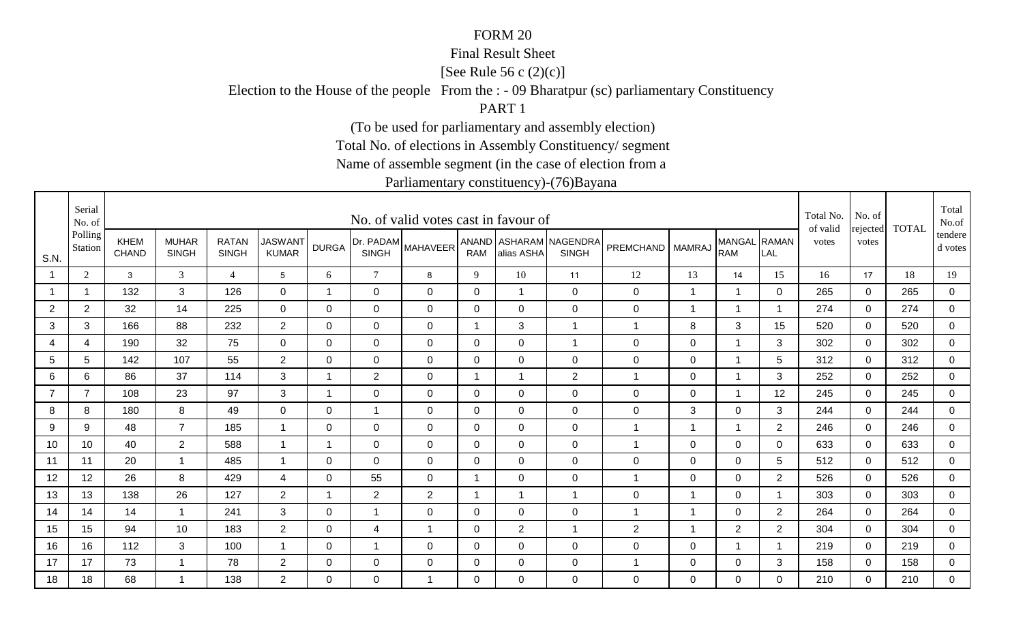### Final Result Sheet

[See Rule 56 c (2)(c)]

Election to the House of the people From the : - 09 Bharatpur (sc) parliamentary Constituency

PART 1

(To be used for parliamentary and assembly election)

Total No. of elections in Assembly Constituency/ segment

Name of assemble segment (in the case of election from a

|                | Serial<br>No. of   |                      |                              |                              |                                |                          |                           | No. of valid votes cast in favour of |                |                |                                        |                    |                         |                            |                          | Total No.<br>of valid | No. of            | <b>TOTAL</b> | Total<br>No.of     |
|----------------|--------------------|----------------------|------------------------------|------------------------------|--------------------------------|--------------------------|---------------------------|--------------------------------------|----------------|----------------|----------------------------------------|--------------------|-------------------------|----------------------------|--------------------------|-----------------------|-------------------|--------------|--------------------|
| S.N.           | Polling<br>Station | KHEM<br><b>CHAND</b> | <b>MUHAR</b><br><b>SINGH</b> | <b>RATAN</b><br><b>SINGH</b> | <b>JASWANT</b><br><b>KUMAR</b> | <b>DURGA</b>             | Dr. PADAM<br><b>SINGH</b> | <b>MAHAVEER</b>                      | RAM            | alias ASHA     | ANAND ASHARAM NAGENDRA<br><b>SINGH</b> | PREMCHAND   MAMRAJ |                         | MANGAL RAMAN<br><b>RAM</b> | LAL                      | votes                 | rejected<br>votes |              | tendere<br>d votes |
|                | 2                  | $\mathbf{3}$         | 3                            | $\overline{4}$               | 5                              | 6                        | $\tau$                    | 8                                    | 9              | 10             | 11                                     | 12                 | 13                      | 14                         | 15                       | 16                    | 17                | 18           | 19                 |
|                | $\overline{1}$     | 132                  | 3                            | 126                          | $\mathbf{0}$                   | 1                        | $\mathbf 0$               | $\mathbf{0}$                         | $\mathbf 0$    | $\overline{1}$ | $\mathbf 0$                            | $\pmb{0}$          | $\overline{1}$          | $\overline{1}$             | $\mathbf 0$              | 265                   | $\mathbf 0$       | 265          | $\overline{0}$     |
| $\overline{2}$ | $\overline{2}$     | 32                   | 14                           | 225                          | $\overline{0}$                 | 0                        | $\mathbf 0$               | $\mathbf 0$                          | 0              | $\mathbf 0$    | $\mathbf 0$                            | $\pmb{0}$          | -1                      | $\overline{1}$             | $\overline{\phantom{a}}$ | 274                   | 0                 | 274          | $\overline{0}$     |
| 3              | 3                  | 166                  | 88                           | 232                          | $\overline{2}$                 | $\Omega$                 | $\mathbf 0$               | $\mathbf 0$                          | -1             | 3              | $\mathbf{1}$                           | 1                  | 8                       | 3                          | 15                       | 520                   | $\mathbf 0$       | 520          | $\mathbf 0$        |
| 4              | $\overline{4}$     | 190                  | 32                           | 75                           | $\mathbf 0$                    | $\mathbf 0$              | $\overline{0}$            | $\mathbf 0$                          | $\overline{0}$ | $\mathbf 0$    | $\overline{1}$                         | $\mathbf 0$        | $\mathbf 0$             | $\overline{1}$             | 3                        | 302                   | $\mathbf 0$       | 302          | $\overline{0}$     |
| 5              | 5                  | 142                  | 107                          | 55                           | $\overline{2}$                 | $\mathbf 0$              | $\overline{0}$            | $\mathbf 0$                          | $\mathbf 0$    | $\mathbf 0$    | $\mathbf 0$                            | $\pmb{0}$          | $\mathbf 0$             | $\mathbf{1}$               | 5                        | 312                   | $\mathbf 0$       | 312          | $\overline{0}$     |
| 6              | 6                  | 86                   | 37                           | 114                          | 3                              | 1                        | $\overline{2}$            | $\mathbf 0$                          | 1              | $\mathbf{1}$   | 2                                      | 1                  | $\mathbf 0$             | $\mathbf 1$                | 3                        | 252                   | $\Omega$          | 252          | 0                  |
|                | $\overline{7}$     | 108                  | 23                           | 97                           | 3                              | 1                        | $\mathbf 0$               | $\mathbf 0$                          | 0              | $\mathbf 0$    | $\mathbf 0$                            | $\pmb{0}$          | $\mathbf 0$             | $\mathbf 1$                | 12                       | 245                   | 0                 | 245          | 0                  |
| 8              | 8                  | 180                  | 8                            | 49                           | 0                              | 0                        | 1                         | 0                                    | 0              | $\mathbf 0$    | $\mathbf 0$                            | $\mathbf 0$        | 3                       | $\mathbf 0$                | 3                        | 244                   | $\mathbf 0$       | 244          | 0                  |
| 9              | 9                  | 48                   | $\overline{7}$               | 185                          |                                | 0                        | $\mathbf 0$               | $\mathbf 0$                          | $\mathbf{0}$   | $\Omega$       | $\mathbf 0$                            | 1                  | -1                      | $\overline{1}$             | $\overline{2}$           | 246                   | $\mathbf{0}$      | 246          | $\overline{0}$     |
| 10             | 10                 | 40                   | $\overline{2}$               | 588                          |                                | $\overline{\phantom{a}}$ | $\mathbf 0$               | $\mathbf 0$                          | $\mathbf 0$    | $\mathbf 0$    | $\mathbf 0$                            | 1                  | $\mathbf 0$             | $\mathbf 0$                | $\Omega$                 | 633                   | $\mathbf 0$       | 633          | $\overline{0}$     |
| 11             | 11                 | 20                   | -1                           | 485                          |                                | $\Omega$                 | $\mathbf 0$               | $\mathbf 0$                          | 0              | $\overline{0}$ | $\mathbf 0$                            | 0                  | $\mathbf 0$             | $\mathbf 0$                | 5                        | 512                   | $\overline{0}$    | 512          | 0                  |
| 12             | 12                 | 26                   | 8                            | 429                          | 4                              | 0                        | 55                        | $\mathbf 0$                          | -1             | $\mathbf 0$    | $\mathbf 0$                            | 1                  | 0                       | $\overline{0}$             | $\overline{2}$           | 526                   | 0                 | 526          | $\mathbf 0$        |
| 13             | 13                 | 138                  | 26                           | 127                          | $\overline{2}$                 | -1                       | $\overline{2}$            | $\overline{2}$                       | -1             | $\mathbf 1$    | 1                                      | $\mathbf 0$        | -1                      | $\mathbf 0$                | -1                       | 303                   | $\mathbf{0}$      | 303          | $\mathbf 0$        |
| 14             | 14                 | 14                   | $\mathbf{1}$                 | 241                          | 3                              | 0                        | $\mathbf{1}$              | $\mathbf 0$                          | 0              | $\overline{0}$ | $\mathbf 0$                            | 1                  | $\overline{\mathbf{1}}$ | $\mathbf 0$                | $\overline{2}$           | 264                   | $\mathbf 0$       | 264          | $\overline{0}$     |
| 15             | 15                 | 94                   | 10                           | 183                          | $\overline{2}$                 | 0                        | 4                         | $\overline{1}$                       | 0              | $\overline{2}$ | $\overline{1}$                         | $\overline{c}$     | 1                       | $\overline{2}$             | $\overline{2}$           | 304                   | $\mathbf 0$       | 304          | $\mathbf 0$        |
| 16             | 16                 | 112                  | 3                            | 100                          |                                | 0                        | $\mathbf 1$               | $\mathbf 0$                          | 0              | $\mathbf 0$    | $\mathbf 0$                            | $\pmb{0}$          | $\mathbf 0$             | 1                          |                          | 219                   | $\mathbf 0$       | 219          | 0                  |
| 17             | 17                 | 73                   | $\overline{1}$               | 78                           | $\overline{2}$                 | 0                        | $\mathbf 0$               | $\mathbf 0$                          | 0              | $\mathbf 0$    | $\mathbf 0$                            | 1                  | $\pmb{0}$               | $\mathbf 0$                | 3                        | 158                   | $\mathbf 0$       | 158          | $\overline{0}$     |
| 18             | 18                 | 68                   | -1                           | 138                          | $\overline{2}$                 | $\Omega$                 | $\mathbf 0$               | -1                                   | $\Omega$       | $\Omega$       | $\mathbf 0$                            | 0                  | $\mathbf{0}$            | $\overline{0}$             | $\Omega$                 | 210                   | $\Omega$          | 210          | $\mathbf 0$        |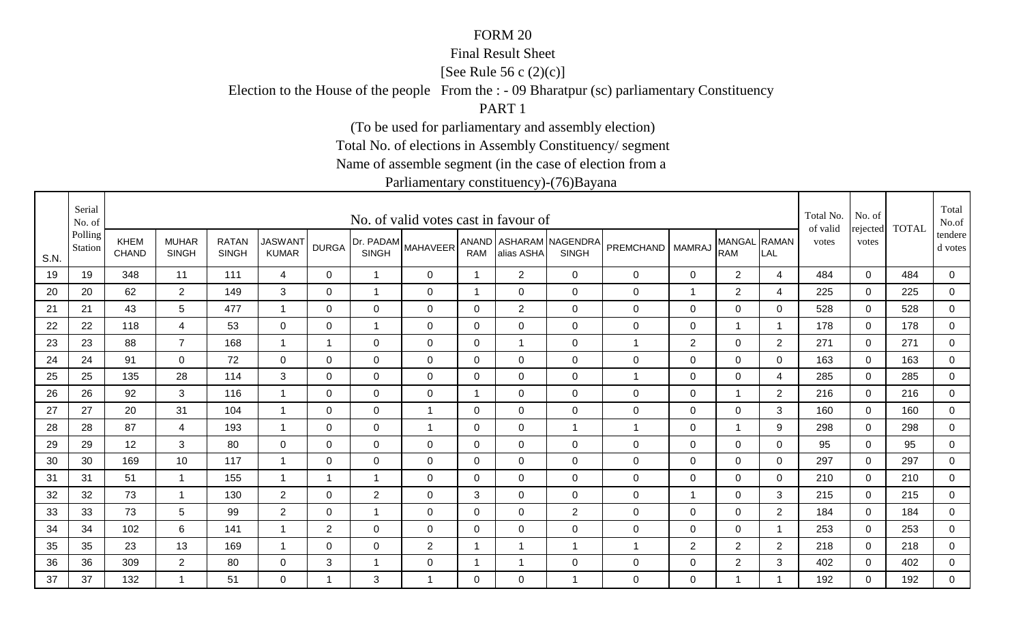### Final Result Sheet

[See Rule 56 c (2)(c)]

Election to the House of the people From the : - 09 Bharatpur (sc) parliamentary Constituency

PART 1

(To be used for parliamentary and assembly election)

Total No. of elections in Assembly Constituency/ segment

Name of assemble segment (in the case of election from a

|      | Serial<br>No. of   |                             |                              |                              |                                |                |                | No. of valid votes cast in favour of |                |                |                                        |                |                |                            |                | Total No.<br>of valid | No. of            | <b>TOTAL</b> | Total<br>No.of     |
|------|--------------------|-----------------------------|------------------------------|------------------------------|--------------------------------|----------------|----------------|--------------------------------------|----------------|----------------|----------------------------------------|----------------|----------------|----------------------------|----------------|-----------------------|-------------------|--------------|--------------------|
| S.N. | Polling<br>Station | <b>KHEM</b><br><b>CHAND</b> | <b>MUHAR</b><br><b>SINGH</b> | <b>RATAN</b><br><b>SINGH</b> | <b>JASWANT</b><br><b>KUMAR</b> | <b>DURGA</b>   | <b>SINGH</b>   | (Dr. PADAM MAHAVEER <sup>!</sup>     | <b>RAM</b>     | alias ASHA     | ANAND ASHARAM NAGENDRA<br><b>SINGH</b> | PREMCHAND      | <b>MAMRAJ</b>  | MANGAL RAMAN<br><b>RAM</b> | LAL            | votes                 | rejected<br>votes |              | tendere<br>d votes |
| 19   | 19                 | 348                         | 11                           | 111                          | $\overline{4}$                 | 0              | $\mathbf{1}$   | $\mathbf 0$                          | $\overline{1}$ | $\overline{2}$ | $\overline{0}$                         | 0              | $\pmb{0}$      | $\overline{2}$             | $\overline{4}$ | 484                   | $\mathbf 0$       | 484          | $\mathbf 0$        |
| 20   | 20                 | 62                          | $\overline{2}$               | 149                          | 3                              | $\mathbf 0$    | $\overline{1}$ | $\mathbf 0$                          | 1              | $\mathbf 0$    | $\mathbf 0$                            | 0              | 1              | $\overline{2}$             | 4              | 225                   | $\mathbf 0$       | 225          | $\mathsf 0$        |
| 21   | 21                 | 43                          | 5                            | 477                          | $\overline{1}$                 | 0              | $\mathbf 0$    | 0                                    | 0              | $\overline{2}$ | $\mathbf 0$                            | 0              | $\mathbf 0$    | $\mathbf 0$                | 0              | 528                   | 0                 | 528          | $\mathbf 0$        |
| 22   | 22                 | 118                         | 4                            | 53                           | 0                              | 0              | 1              | 0                                    | 0              | 0              | $\mathbf 0$                            | 0              | $\mathbf 0$    |                            |                | 178                   | $\Omega$          | 178          | $\mathbf 0$        |
| 23   | 23                 | 88                          | $\overline{7}$               | 168                          | $\overline{1}$                 | $\overline{1}$ | $\Omega$       | $\Omega$                             | $\Omega$       | -1             | $\mathbf 0$                            | $\mathbf 1$    | $\overline{2}$ | $\mathbf 0$                | $\overline{2}$ | 271                   | $\Omega$          | 271          | 0                  |
| 24   | 24                 | 91                          | $\mathbf 0$                  | 72                           | $\mathbf 0$                    | 0              | 0              | 0                                    | 0              | $\mathbf 0$    | $\mathbf 0$                            | 0              | 0              | 0                          | 0              | 163                   | 0                 | 163          | 0                  |
| 25   | 25                 | 135                         | 28                           | 114                          | 3                              | 0              | $\mathbf 0$    | $\mathbf 0$                          | 0              | 0              | $\mathbf 0$                            | $\overline{1}$ | 0              | $\mathbf 0$                | 4              | 285                   | $\Omega$          | 285          | $\mathbf 0$        |
| 26   | 26                 | 92                          | 3                            | 116                          | $\mathbf 1$                    | 0              | 0              | 0                                    | -1             | $\mathbf 0$    | $\mathbf 0$                            | 0              | $\mathbf 0$    | $\mathbf 1$                | $\overline{2}$ | 216                   | 0                 | 216          | $\mathbf 0$        |
| 27   | 27                 | 20                          | 31                           | 104                          | -1                             | 0              | $\mathbf 0$    | -1                                   | $\mathbf 0$    | 0              | $\mathbf 0$                            | 0              | 0              | $\mathbf 0$                | 3              | 160                   | $\Omega$          | 160          | $\mathbf 0$        |
| 28   | 28                 | 87                          | $\overline{4}$               | 193                          | $\overline{1}$                 | $\Omega$       | 0              | $\overline{1}$                       | $\Omega$       | $\overline{0}$ | $\mathbf{1}$                           | $\mathbf 1$    | $\mathbf 0$    | $\overline{1}$             | 9              | 298                   | $\Omega$          | 298          | $\mathbf 0$        |
| 29   | 29                 | 12                          | 3                            | 80                           | $\overline{0}$                 | 0              | $\mathbf 0$    | $\mathbf 0$                          | $\mathbf 0$    | $\mathbf 0$    | $\mathbf 0$                            | 0              | $\pmb{0}$      | $\mathbf 0$                | 0              | 95                    | 0                 | 95           | $\mathbf 0$        |
| 30   | 30                 | 169                         | 10                           | 117                          | -1                             | $\mathbf 0$    | $\mathbf 0$    | $\mathbf 0$                          | $\mathbf 0$    | $\overline{0}$ | $\overline{0}$                         | 0              | $\mathbf 0$    | $\mathbf 0$                | $\mathbf{0}$   | 297                   | $\Omega$          | 297          | $\mathbf 0$        |
| 31   | 31                 | 51                          | $\mathbf{1}$                 | 155                          | $\overline{1}$                 | 1              | $\overline{1}$ | $\mathbf 0$                          | 0              | $\mathbf 0$    | $\mathbf 0$                            | 0              | $\pmb{0}$      | $\mathbf 0$                | 0              | 210                   | 0                 | 210          | $\overline{0}$     |
| 32   | 32                 | 73                          | $\mathbf{1}$                 | 130                          | $\overline{2}$                 | $\Omega$       | $\overline{2}$ | $\Omega$                             | 3              | $\Omega$       | $\mathbf 0$                            | 0              | 1              | $\mathbf 0$                | 3              | 215                   | $\Omega$          | 215          | 0                  |
| 33   | 33                 | 73                          | 5                            | 99                           | $\overline{2}$                 | $\Omega$       | $\overline{1}$ | $\Omega$                             | $\Omega$       | $\overline{0}$ | 2                                      | 0              | 0              | $\mathbf 0$                | 2              | 184                   | $\Omega$          | 184          | $\mathbf 0$        |
| 34   | 34                 | 102                         | 6                            | 141                          | -1                             | $\overline{2}$ | $\mathbf 0$    | $\mathbf 0$                          | 0              | $\mathbf 0$    | $\mathbf 0$                            | 0              | $\mathbf 0$    | $\mathbf 0$                | -1             | 253                   | $\mathbf 0$       | 253          | $\mathbf 0$        |
| 35   | 35                 | 23                          | 13                           | 169                          | -1                             | 0              | $\mathbf 0$    | $\overline{2}$                       | -1             |                | $\overline{1}$                         | $\mathbf 1$    | $\overline{2}$ | $\overline{2}$             | $\overline{2}$ | 218                   | 0                 | 218          | $\mathbf 0$        |
| 36   | 36                 | 309                         | $\overline{2}$               | 80                           | 0                              | 3              | 1              | $\mathbf 0$                          | 1              |                | $\mathbf 0$                            | 0              | $\mathbf 0$    | $\overline{2}$             | 3              | 402                   | 0                 | 402          | $\overline{0}$     |
| 37   | 37                 | 132                         | $\mathbf 1$                  | 51                           | $\Omega$                       | 1              | 3              | $\mathbf 1$                          | $\Omega$       | $\overline{0}$ | $\overline{1}$                         | 0              | $\Omega$       |                            |                | 192                   | $\Omega$          | 192          | $\Omega$           |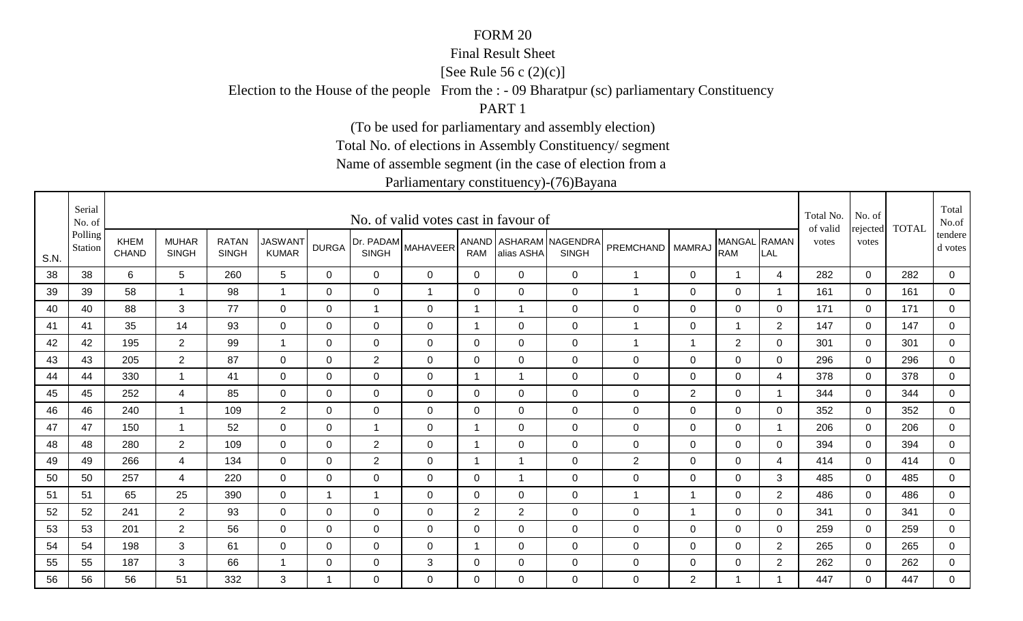### Final Result Sheet

[See Rule 56 c (2)(c)]

Election to the House of the people From the : - 09 Bharatpur (sc) parliamentary Constituency

PART 1

(To be used for parliamentary and assembly election)

Total No. of elections in Assembly Constituency/ segment

Name of assemble segment (in the case of election from a

|      | Serial<br>No. of   |                             |                              |                              |                                |              |                           | No. of valid votes cast in favour of |                         |                |                                        |             |                         |                            |                          | Total No.<br>of valid | No. of            | <b>TOTAL</b> | Total<br>No.of       |
|------|--------------------|-----------------------------|------------------------------|------------------------------|--------------------------------|--------------|---------------------------|--------------------------------------|-------------------------|----------------|----------------------------------------|-------------|-------------------------|----------------------------|--------------------------|-----------------------|-------------------|--------------|----------------------|
| S.N. | Polling<br>Station | <b>KHEM</b><br><b>CHAND</b> | <b>MUHAR</b><br><b>SINGH</b> | <b>RATAN</b><br><b>SINGH</b> | <b>JASWANT</b><br><b>KUMAR</b> | <b>DURGA</b> | Dr. PADAM<br><b>SINGH</b> | <b>MAHAVEER</b>                      | <b>RAM</b>              | alias ASHA     | ANAND ASHARAM NAGENDRA<br><b>SINGH</b> | PREMCHAND   | <b>MAMRAJ</b>           | MANGAL RAMAN<br><b>RAM</b> | LAL                      | votes                 | rejected<br>votes |              | tendere  <br>d votes |
| 38   | 38                 | 6                           | $5\phantom{.0}$              | 260                          | 5                              | $\Omega$     | $\overline{0}$            | $\Omega$                             | $\Omega$                | $\Omega$       | $\mathbf 0$                            | 1           | 0                       | $\overline{\mathbf{1}}$    | 4                        | 282                   | $\mathbf 0$       | 282          | $\overline{0}$       |
| 39   | 39                 | 58                          | $\overline{1}$               | 98                           | $\overline{ }$                 | $\mathbf 0$  | $\overline{0}$            | $\mathbf{1}$                         | $\mathbf 0$             | $\mathbf 0$    | $\mathbf 0$                            | 1           | $\mathbf 0$             | $\mathbf 0$                | $\overline{\phantom{a}}$ | 161                   | $\overline{0}$    | 161          | $\overline{0}$       |
| 40   | 40                 | 88                          | 3                            | 77                           | 0                              | 0            | $\mathbf{1}$              | $\mathbf 0$                          | -1                      | $\mathbf 1$    | $\mathbf 0$                            | $\mathbf 0$ | 0                       | $\overline{0}$             | 0                        | 171                   | $\mathbf 0$       | 171          | $\overline{0}$       |
| 41   | 41                 | 35                          | 14                           | 93                           | $\mathbf 0$                    | 0            | $\mathbf 0$               | $\mathbf 0$                          | -1                      | $\mathbf 0$    | $\mathbf 0$                            | 1           | $\mathbf 0$             | 1                          | $\overline{2}$           | 147                   | 0                 | 147          | 0                    |
| 42   | 42                 | 195                         | $\overline{2}$               | 99                           | $\overline{1}$                 | 0            | $\mathbf 0$               | $\mathbf 0$                          | 0                       | $\mathbf 0$    | $\mathbf 0$                            | 1           | $\overline{\mathbf{1}}$ | 2                          | 0                        | 301                   | $\mathbf 0$       | 301          | $\overline{0}$       |
| 43   | 43                 | 205                         | $\overline{2}$               | 87                           | $\mathbf 0$                    | 0            | $\overline{2}$            | $\mathbf 0$                          | 0                       | $\mathbf 0$    | $\mathbf 0$                            | $\mathbf 0$ | $\mathbf 0$             | $\overline{0}$             | 0                        | 296                   | $\mathbf 0$       | 296          | $\overline{0}$       |
| 44   | 44                 | 330                         | $\overline{1}$               | 41                           | $\mathbf 0$                    | $\Omega$     | $\mathbf 0$               | $\mathbf 0$                          | -1                      | $\overline{1}$ | $\mathbf 0$                            | $\pmb{0}$   | $\overline{0}$          | $\mathbf 0$                | 4                        | 378                   | $\mathbf 0$       | 378          | $\mathbf 0$          |
| 45   | 45                 | 252                         | 4                            | 85                           | 0                              | 0            | $\mathbf 0$               | $\mathbf 0$                          | 0                       | $\mathbf 0$    | $\mathbf 0$                            | $\mathbf 0$ | $\overline{2}$          | $\mathbf 0$                | -1                       | 344                   | $\mathbf 0$       | 344          | $\mathbf 0$          |
| 46   | 46                 | 240                         | $\overline{1}$               | 109                          | $\overline{2}$                 | $\Omega$     | 0                         | $\Omega$                             | $\Omega$                | $\Omega$       | $\mathbf 0$                            | 0           | $\overline{0}$          | $\mathbf 0$                | $\Omega$                 | 352                   | $\mathbf{0}$      | 352          | 0                    |
| 47   | 47                 | 150                         | $\overline{1}$               | 52                           | $\Omega$                       | $\Omega$     | $\mathbf{1}$              | $\Omega$                             | $\overline{1}$          | $\Omega$       | $\Omega$                               | $\mathbf 0$ | $\mathbf{0}$            | $\mathbf 0$                | $\overline{\phantom{a}}$ | 206                   | $\Omega$          | 206          | $\mathbf 0$          |
| 48   | 48                 | 280                         | $\overline{2}$               | 109                          | 0                              | 0            | $\overline{2}$            | $\mathbf 0$                          | $\mathbf 1$             | $\mathbf 0$    | $\mathbf 0$                            | $\mathbf 0$ | 0                       | $\overline{0}$             | 0                        | 394                   | $\mathbf 0$       | 394          | $\mathbf 0$          |
| 49   | 49                 | 266                         | $\overline{4}$               | 134                          | $\mathbf 0$                    | $\Omega$     | 2                         | $\mathbf 0$                          | $\overline{\mathbf{1}}$ | $\overline{1}$ | $\mathbf 0$                            | $\sqrt{2}$  | $\overline{0}$          | $\mathbf 0$                | 4                        | 414                   | $\mathbf 0$       | 414          | 0                    |
| 50   | 50                 | 257                         | 4                            | 220                          | $\overline{0}$                 | 0            | $\mathbf 0$               | $\mathbf 0$                          | 0                       | $\overline{ }$ | $\mathbf 0$                            | $\pmb{0}$   | $\mathbf 0$             | $\mathbf 0$                | 3                        | 485                   | $\mathbf{0}$      | 485          | $\mathbf 0$          |
| 51   | 51                 | 65                          | 25                           | 390                          | $\mathbf 0$                    | -1           | 1                         | $\mathbf 0$                          | 0                       | $\mathbf 0$    | $\mathbf 0$                            | 1           | -1                      | $\mathbf 0$                | $\overline{2}$           | 486                   | $\mathbf 0$       | 486          | $\mathbf 0$          |
| 52   | 52                 | 241                         | $\overline{2}$               | 93                           | $\mathbf 0$                    | $\mathbf 0$  | $\overline{0}$            | $\mathbf 0$                          | $\overline{2}$          | $\overline{2}$ | $\mathbf 0$                            | $\pmb{0}$   | $\overline{1}$          | $\mathbf 0$                | 0                        | 341                   | $\mathbf 0$       | 341          | $\overline{0}$       |
| 53   | 53                 | 201                         | $\overline{2}$               | 56                           | $\mathbf 0$                    | 0            | $\mathbf 0$               | $\mathbf 0$                          | 0                       | $\overline{0}$ | $\mathbf 0$                            | $\mathbf 0$ | $\mathbf 0$             | $\mathbf 0$                | $\mathbf 0$              | 259                   | $\mathbf 0$       | 259          | $\overline{0}$       |
| 54   | 54                 | 198                         | 3                            | 61                           | $\mathbf 0$                    | $\mathbf 0$  | $\mathbf 0$               | $\mathbf 0$                          | -1                      | $\mathbf 0$    | $\mathbf 0$                            | $\pmb{0}$   | $\mathbf 0$             | $\mathbf 0$                | $\overline{2}$           | 265                   | $\mathbf 0$       | 265          | 0                    |
| 55   | 55                 | 187                         | 3                            | 66                           |                                | 0            | $\mathbf 0$               | 3                                    | 0                       | $\overline{0}$ | $\mathbf 0$                            | $\pmb{0}$   | $\mathbf 0$             | $\overline{0}$             | $\overline{2}$           | 262                   | $\mathbf 0$       | 262          | $\overline{0}$       |
| 56   | 56                 | 56                          | 51                           | 332                          | 3                              |              | $\mathbf 0$               | $\Omega$                             | $\Omega$                | $\Omega$       | $\mathbf 0$                            | 0           | $\overline{2}$          | 1                          |                          | 447                   | $\Omega$          | 447          | $\overline{0}$       |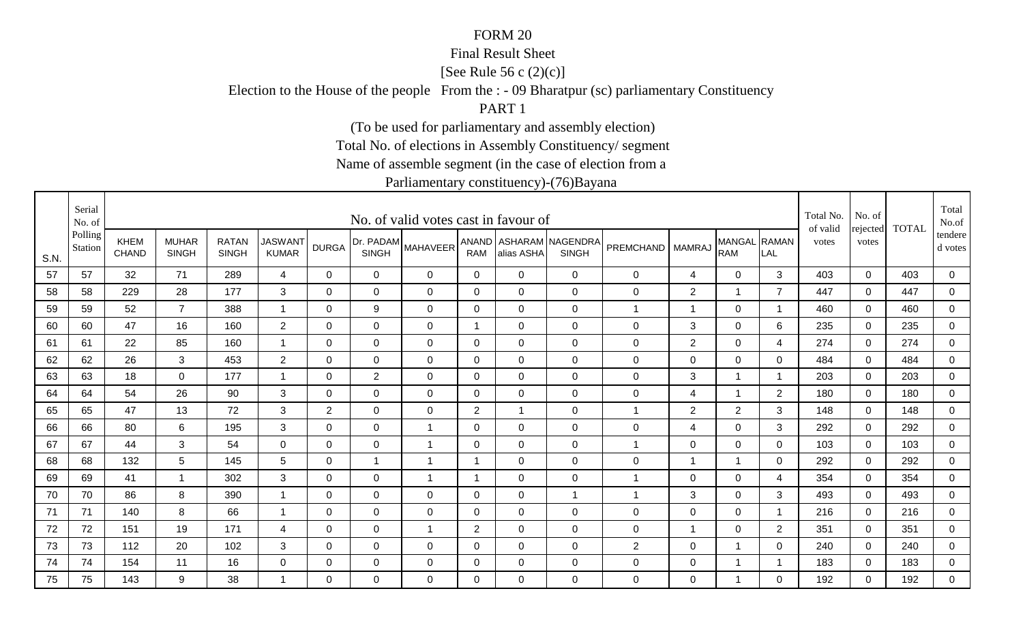### Final Result Sheet

[See Rule 56 c (2)(c)]

Election to the House of the people From the : - 09 Bharatpur (sc) parliamentary Constituency

PART 1

(To be used for parliamentary and assembly election)

Total No. of elections in Assembly Constituency/ segment

Name of assemble segment (in the case of election from a

|      | Serial<br>No. of   |                             |                              |                              |                                |                |                           | No. of valid votes cast in favour of |                |                |                                        |                |                         |                             |                     | Total No.<br>of valid | No. of            | <b>TOTAL</b> | Total<br>No.of     |
|------|--------------------|-----------------------------|------------------------------|------------------------------|--------------------------------|----------------|---------------------------|--------------------------------------|----------------|----------------|----------------------------------------|----------------|-------------------------|-----------------------------|---------------------|-----------------------|-------------------|--------------|--------------------|
| S.N. | Polling<br>Station | <b>KHEM</b><br><b>CHAND</b> | <b>MUHAR</b><br><b>SINGH</b> | <b>RATAN</b><br><b>SINGH</b> | <b>JASWANT</b><br><b>KUMAR</b> | <b>DURGA</b>   | Dr. PADAM<br><b>SINGH</b> | <b>MAHAVEER</b>                      | <b>RAM</b>     | alias ASHA     | ANAND ASHARAM NAGENDRA<br><b>SINGH</b> | PREMCHAND      | <b>MAMRAJ</b>           | <b>MANGAL</b><br><b>RAM</b> | <b>RAMAN</b><br>LAL | votes                 | rejected<br>votes |              | tendere<br>d votes |
| 57   | 57                 | 32                          | 71                           | 289                          | 4                              | $\mathbf 0$    | $\mathbf 0$               | $\mathbf 0$                          | $\mathbf 0$    | $\overline{0}$ | $\mathbf 0$                            | 0              | 4                       | $\mathbf 0$                 | 3                   | 403                   | $\mathbf 0$       | 403          | $\mathbf 0$        |
| 58   | 58                 | 229                         | 28                           | 177                          | 3                              | $\mathbf 0$    | $\mathbf 0$               | $\mathbf 0$                          | $\mathbf 0$    | $\overline{0}$ | $\overline{0}$                         | 0              | $\overline{2}$          |                             | $\overline{7}$      | 447                   | $\mathbf 0$       | 447          | $\mathbf 0$        |
| 59   | 59                 | 52                          | $\overline{7}$               | 388                          | $\overline{1}$                 | 0              | 9                         | 0                                    | 0              | 0              | $\mathbf 0$                            | $\mathbf{1}$   | 1                       | $\mathbf 0$                 | -1                  | 460                   | 0                 | 460          | $\mathbf 0$        |
| 60   | 60                 | 47                          | 16                           | 160                          | $\overline{2}$                 | 0              | 0                         | 0                                    | 1              | 0              | $\mathbf 0$                            | 0              | 3                       | $\mathbf 0$                 | 6                   | 235                   | $\Omega$          | 235          | $\mathbf 0$        |
| 61   | 61                 | 22                          | 85                           | 160                          | $\blacktriangleleft$           | $\Omega$       | 0                         | 0                                    | 0              | 0              | $\mathbf 0$                            | 0              | $\overline{2}$          | $\mathbf 0$                 | 4                   | 274                   | $\Omega$          | 274          | $\mathbf 0$        |
| 62   | 62                 | 26                          | 3                            | 453                          | $\overline{2}$                 | 0              | $\mathbf 0$               | $\mathbf 0$                          | 0              | 0              | $\mathbf 0$                            | 0              | $\mathbf 0$             | $\mathbf 0$                 | 0                   | 484                   | 0                 | 484          | $\overline{0}$     |
| 63   | 63                 | 18                          | $\Omega$                     | 177                          | -1                             | $\Omega$       | $\overline{2}$            | $\Omega$                             | 0              | $\Omega$       | $\overline{0}$                         | 0              | $\sqrt{3}$              | 1                           | -1                  | 203                   | $\Omega$          | 203          | $\mathbf 0$        |
| 64   | 64                 | 54                          | 26                           | 90                           | 3                              | 0              | $\mathbf 0$               | $\mathbf 0$                          | $\mathbf 0$    | $\mathbf 0$    | $\mathbf 0$                            | 0              | $\overline{\mathbf{4}}$ | $\mathbf 1$                 | $\overline{2}$      | 180                   | 0                 | 180          | $\mathbf 0$        |
| 65   | 65                 | 47                          | 13                           | 72                           | 3                              | $\overline{2}$ | 0                         | $\mathbf 0$                          | 2              | -1             | $\overline{0}$                         | 1              | $\overline{2}$          | $\overline{2}$              | 3                   | 148                   | $\Omega$          | 148          | $\mathbf 0$        |
| 66   | 66                 | 80                          | 6                            | 195                          | 3                              | 0              | 0                         | $\overline{1}$                       | 0              | 0              | $\mathbf 0$                            | 0              | 4                       | $\mathbf 0$                 | 3                   | 292                   | 0                 | 292          | $\mathbf 0$        |
| 67   | 67                 | 44                          | 3                            | 54                           | $\mathbf 0$                    | 0              | $\mathbf 0$               | $\overline{1}$                       | $\mathbf 0$    | $\mathbf 0$    | $\mathbf 0$                            | $\mathbf 1$    | $\mathbf 0$             | $\mathbf 0$                 | 0                   | 103                   | 0                 | 103          | $\mathbf 0$        |
| 68   | 68                 | 132                         | 5                            | 145                          | 5                              | 0              | $\overline{1}$            | $\overline{1}$                       | 1              | 0              | $\mathbf 0$                            | 0              | 1                       | 1                           | 0                   | 292                   | $\Omega$          | 292          | $\mathbf 0$        |
| 69   | 69                 | 41                          | $\overline{1}$               | 302                          | 3                              | 0              | $\mathbf 0$               | $\mathbf 1$                          | 1              | 0              | $\mathbf 0$                            | 1              | $\mathbf 0$             | $\mathbf 0$                 | 4                   | 354                   | 0                 | 354          | $\mathbf 0$        |
| 70   | 70                 | 86                          | 8                            | 390                          | -1                             | $\Omega$       | 0                         | $\Omega$                             | $\Omega$       | 0              | $\mathbf{1}$                           | 1              | 3                       | $\mathbf 0$                 | 3                   | 493                   | $\Omega$          | 493          | 0                  |
| 71   | 71                 | 140                         | 8                            | 66                           | $\overline{1}$                 | $\Omega$       | $\mathbf 0$               | $\mathbf 0$                          | $\mathbf 0$    | $\mathbf 0$    | $\overline{0}$                         | 0              | $\pmb{0}$               | $\mathbf 0$                 | $\overline{1}$      | 216                   | $\mathbf 0$       | 216          | $\mathbf 0$        |
| 72   | 72                 | 151                         | 19                           | 171                          | 4                              | 0              | $\mathbf 0$               | $\mathbf{1}$                         | $\overline{2}$ | 0              | $\mathbf 0$                            | 0              | $\overline{1}$          | $\mathbf 0$                 | $\overline{2}$      | 351                   | 0                 | 351          | $\mathbf 0$        |
| 73   | 73                 | 112                         | 20                           | 102                          | 3                              | 0              | $\mathbf 0$               | 0                                    | 0              | 0              | $\mathbf 0$                            | $\overline{2}$ | $\mathbf 0$             |                             | $\mathbf 0$         | 240                   | 0                 | 240          | 0                  |
| 74   | 74                 | 154                         | 11                           | 16                           | 0                              | 0              | $\mathbf 0$               | 0                                    | $\mathbf 0$    | 0              | $\mathbf 0$                            | 0              | $\mathbf 0$             |                             |                     | 183                   | 0                 | 183          | $\mathbf 0$        |
| 75   | 75                 | 143                         | 9                            | 38                           | -1                             | $\Omega$       | $\Omega$                  | $\Omega$                             | $\Omega$       | $\Omega$       | $\overline{0}$                         | 0              | $\Omega$                |                             | $\Omega$            | 192                   | $\Omega$          | 192          | $\Omega$           |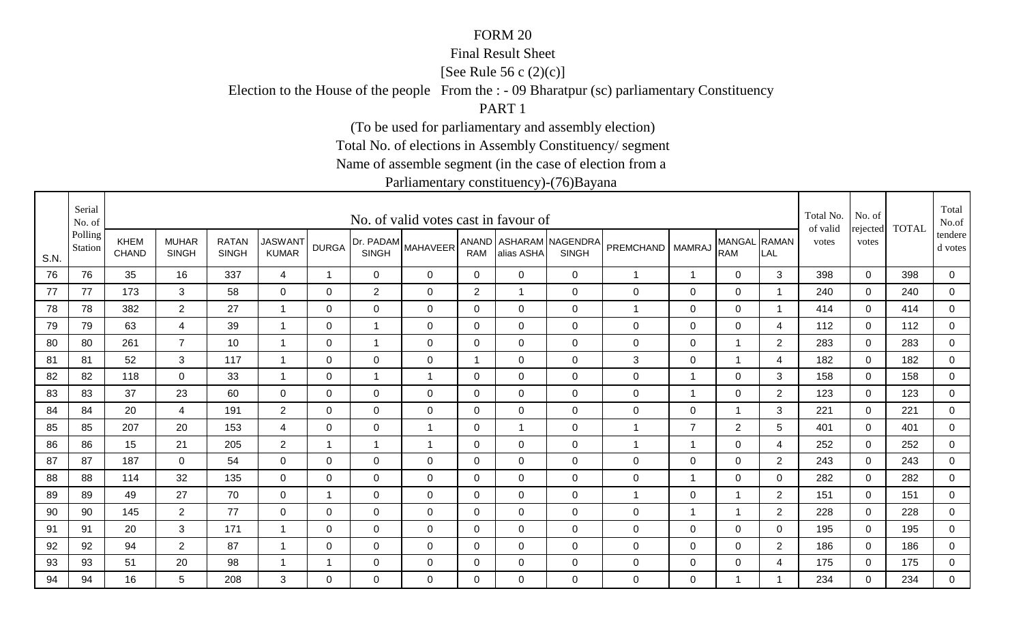### Final Result Sheet

[See Rule 56 c (2)(c)]

Election to the House of the people From the : - 09 Bharatpur (sc) parliamentary Constituency

PART 1

(To be used for parliamentary and assembly election)

Total No. of elections in Assembly Constituency/ segment

Name of assemble segment (in the case of election from a

|      | Serial<br>No. of   |                      |                              |                              |                                |                |                           | No. of valid votes cast in favour of |              |                |                                        |              |                |                            |                | Total No.<br>of valid | No. of            | <b>TOTAL</b> | Total<br>No.of     |
|------|--------------------|----------------------|------------------------------|------------------------------|--------------------------------|----------------|---------------------------|--------------------------------------|--------------|----------------|----------------------------------------|--------------|----------------|----------------------------|----------------|-----------------------|-------------------|--------------|--------------------|
| S.N. | Polling<br>Station | KHEM<br><b>CHAND</b> | <b>MUHAR</b><br><b>SINGH</b> | <b>RATAN</b><br><b>SINGH</b> | <b>JASWANT</b><br><b>KUMAR</b> | <b>DURGA</b>   | Dr. PADAM<br><b>SINGH</b> | <b>MAHAVEER</b>                      | <b>RAM</b>   | alias ASHA     | ANAND ASHARAM NAGENDRA<br><b>SINGH</b> | PREMCHAND    | <b>MAMRAJ</b>  | MANGAL RAMAN<br><b>RAM</b> | LAL            | votes                 | rejected<br>votes |              | tendere<br>d votes |
| 76   | 76                 | 35                   | 16                           | 337                          | 4                              | $\overline{1}$ | $\mathbf 0$               | 0                                    | $\mathbf 0$  | $\mathbf 0$    | $\overline{0}$                         | $\mathbf 1$  | $\mathbf{1}$   | $\overline{0}$             | 3              | 398                   | $\mathbf 0$       | 398          | $\mathbf 0$        |
| 77   | 77                 | 173                  | 3                            | 58                           | $\mathbf 0$                    | $\Omega$       | $\overline{2}$            | $\mathbf 0$                          | 2            | -1             | $\mathbf 0$                            | 0            | $\mathbf 0$    | $\mathbf 0$                |                | 240                   | $\mathbf 0$       | 240          | $\mathsf 0$        |
| 78   | 78                 | 382                  | $\overline{2}$               | 27                           | -1                             | 0              | $\mathbf 0$               | 0                                    | $\mathbf 0$  | 0              | $\mathbf 0$                            | $\mathbf 1$  | $\mathbf 0$    | $\mathbf 0$                | 1              | 414                   | 0                 | 414          | $\mathbf 0$        |
| 79   | 79                 | 63                   | $\overline{4}$               | 39                           | -1                             | 0              | 1                         | 0                                    | 0            | 0              | $\mathbf 0$                            | 0            | $\mathbf 0$    | $\mathbf 0$                | 4              | 112                   | $\Omega$          | 112          | $\mathbf 0$        |
| 80   | 80                 | 261                  | $\overline{7}$               | 10                           | $\overline{1}$                 | $\Omega$       | $\overline{1}$            | $\Omega$                             | $\Omega$     | $\overline{0}$ | $\mathbf 0$                            | 0            | 0              | 1                          | $\overline{2}$ | 283                   | $\Omega$          | 283          | 0                  |
| 81   | 81                 | 52                   | 3                            | 117                          | $\mathbf{1}$                   | 0              | 0                         | 0                                    | $\mathbf{1}$ | 0              | $\mathbf 0$                            | 3            | 0              | $\mathbf{1}$               | 4              | 182                   | 0                 | 182          | $\mathbf 0$        |
| 82   | 82                 | 118                  | $\Omega$                     | 33                           | -1                             | 0              | $\overline{1}$            | $\overline{1}$                       | 0            | 0              | $\overline{0}$                         | 0            | $\mathbf 1$    | $\mathbf 0$                | 3              | 158                   | $\Omega$          | 158          | $\mathbf 0$        |
| 83   | 83                 | 37                   | 23                           | 60                           | $\mathbf 0$                    | 0              | 0                         | 0                                    | 0            | 0              | $\mathbf 0$                            | 0            | 1              | $\mathbf 0$                | $\overline{2}$ | 123                   | 0                 | 123          | 0                  |
| 84   | 84                 | 20                   | 4                            | 191                          | $\overline{2}$                 | 0              | $\mathbf 0$               | 0                                    | 0            | 0              | $\mathbf 0$                            | 0            | $\mathbf 0$    | 1                          | 3              | 221                   | $\Omega$          | 221          | $\mathbf 0$        |
| 85   | 85                 | 207                  | 20                           | 153                          | 4                              | $\Omega$       | $\mathbf 0$               | $\overline{1}$                       | 0            | -1             | $\overline{0}$                         | $\mathbf 1$  | $\overline{7}$ | $\overline{2}$             | 5              | 401                   | $\Omega$          | 401          | $\mathbf 0$        |
| 86   | 86                 | 15                   | 21                           | 205                          | $\overline{2}$                 | $\overline{1}$ | $\overline{1}$            | $\overline{1}$                       | $\mathbf 0$  | $\mathbf 0$    | $\mathbf 0$                            | $\mathbf{1}$ | $\overline{1}$ | $\mathbf 0$                | 4              | 252                   | 0                 | 252          | $\mathbf 0$        |
| 87   | 87                 | 187                  | $\overline{0}$               | 54                           | $\mathbf 0$                    | $\Omega$       | $\mathbf 0$               | $\mathbf 0$                          | $\mathbf 0$  | $\overline{0}$ | $\overline{0}$                         | 0            | $\mathbf 0$    | $\mathbf 0$                | $\overline{2}$ | 243                   | $\Omega$          | 243          | $\mathbf 0$        |
| 88   | 88                 | 114                  | 32                           | 135                          | $\overline{0}$                 | $\mathbf 0$    | $\mathbf 0$               | $\mathbf 0$                          | 0            | $\mathbf 0$    | $\mathbf 0$                            | 0            | 1              | $\mathbf 0$                | 0              | 282                   | 0                 | 282          | $\mathbf 0$        |
| 89   | 89                 | 49                   | 27                           | 70                           | 0                              | $\mathbf 1$    | 0                         | $\Omega$                             | $\Omega$     | $\Omega$       | $\mathbf 0$                            | $\mathbf 1$  | 0              | 1                          | 2              | 151                   | $\Omega$          | 151          | 0                  |
| 90   | 90                 | 145                  | $\overline{2}$               | 77                           | 0                              | $\Omega$       | $\Omega$                  | $\Omega$                             | $\Omega$     | $\mathbf{0}$   | $\mathbf 0$                            | 0            | 1              | $\overline{1}$             | 2              | 228                   | $\Omega$          | 228          | $\mathbf 0$        |
| 91   | 91                 | 20                   | 3                            | 171                          | 1                              | 0              | $\mathbf 0$               | $\mathbf 0$                          | 0            | $\mathbf 0$    | $\mathbf 0$                            | 0            | $\mathbf 0$    | $\mathbf 0$                | 0              | 195                   | 0                 | 195          | 0                  |
| 92   | 92                 | 94                   | $\overline{2}$               | 87                           | -1                             | 0              | $\mathbf 0$               | 0                                    | 0            | 0              | $\mathbf 0$                            | 0            | $\mathbf 0$    | $\mathbf 0$                | $\overline{2}$ | 186                   | 0                 | 186          | 0                  |
| 93   | 93                 | 51                   | 20                           | 98                           | -1                             | 1              | $\mathbf 0$               | 0                                    | $\mathbf 0$  | 0              | $\mathbf 0$                            | 0            | $\mathbf 0$    | $\mathbf 0$                | 4              | 175                   | 0                 | 175          | $\overline{0}$     |
| 94   | 94                 | 16                   | 5                            | 208                          | 3                              | $\Omega$       | $\Omega$                  | $\Omega$                             | $\Omega$     | $\Omega$       | $\overline{0}$                         | 0            | $\Omega$       |                            |                | 234                   | $\Omega$          | 234          | 0                  |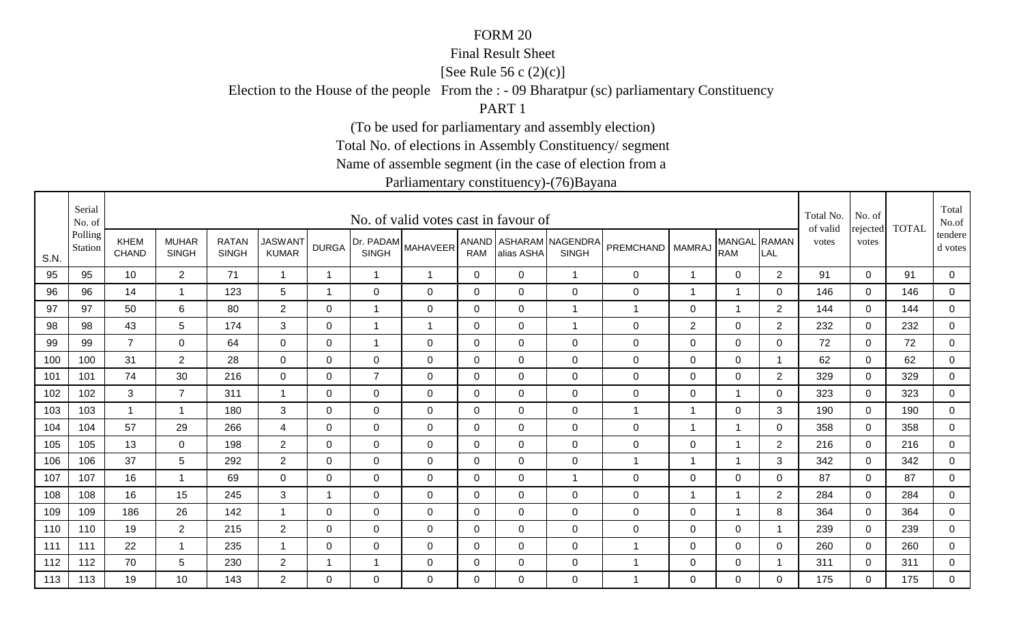### Final Result Sheet

[See Rule 56 c (2)(c)]

Election to the House of the people From the : - 09 Bharatpur (sc) parliamentary Constituency

PART 1

(To be used for parliamentary and assembly election)

Total No. of elections in Assembly Constituency/ segment

Name of assemble segment (in the case of election from a

|      | Serial<br>No. of   |                      |                              |                              |                                |              |                           | No. of valid votes cast in favour of |              |                |                                        |                  |                |                            |                | Total No.<br>of valid | No. of<br>rejected | <b>TOTAL</b> | Total<br>No.of     |
|------|--------------------|----------------------|------------------------------|------------------------------|--------------------------------|--------------|---------------------------|--------------------------------------|--------------|----------------|----------------------------------------|------------------|----------------|----------------------------|----------------|-----------------------|--------------------|--------------|--------------------|
| S.N. | Polling<br>Station | KHEM<br><b>CHAND</b> | <b>MUHAR</b><br><b>SINGH</b> | <b>RATAN</b><br><b>SINGH</b> | <b>JASWANT</b><br><b>KUMAR</b> | <b>DURGA</b> | Dr. PADAM<br><b>SINGH</b> | <b>MAHAVEER</b>                      | <b>RAM</b>   | alias ASHA     | ANAND ASHARAM NAGENDRA<br><b>SINGH</b> | <b>PREMCHAND</b> | <b>MAMRAJ</b>  | MANGAL RAMAN<br><b>RAM</b> | LAL            | votes                 | votes              |              | tendere<br>d votes |
| 95   | 95                 | 10                   | $\overline{2}$               | 71                           | $\overline{1}$                 | $\mathbf 1$  | $\mathbf 1$               | $\overline{1}$                       | $\mathbf 0$  | 0              | $\overline{1}$                         | $\mathbf 0$      | $\mathbf 1$    | $\mathbf 0$                | 2              | 91                    | $\mathbf 0$        | 91           | 0                  |
| 96   | 96                 | 14                   | $\mathbf{1}$                 | 123                          | 5                              | $\mathbf{1}$ | $\mathbf 0$               | $\mathbf 0$                          | $\Omega$     | $\Omega$       | $\mathbf 0$                            | $\mathsf 0$      | $\overline{1}$ | $\overline{1}$             | $\mathbf 0$    | 146                   | $\mathbf 0$        | 146          | $\overline{0}$     |
| 97   | 97                 | 50                   | 6                            | 80                           | $\overline{2}$                 | 0            | $\mathbf 1$               | 0                                    | 0            | 0              | $\overline{1}$                         | $\mathbf{1}$     | 0              | $\mathbf 1$                | $\overline{2}$ | 144                   | $\Omega$           | 144          | $\overline{0}$     |
| 98   | 98                 | 43                   | 5                            | 174                          | 3                              | 0            | 1                         | $\overline{1}$                       | $\mathbf 0$  | $\overline{0}$ | $\overline{1}$                         | $\mathsf 0$      | $\overline{2}$ | $\mathbf 0$                | $\overline{2}$ | 232                   | $\mathbf 0$        | 232          | $\mathbf 0$        |
| 99   | 99                 | $\overline{7}$       | $\overline{0}$               | 64                           | $\overline{0}$                 | $\mathbf 0$  | $\overline{1}$            | $\mathbf 0$                          | $\mathbf 0$  | $\Omega$       | $\mathbf 0$                            | $\mathsf 0$      | $\mathbf 0$    | $\overline{0}$             | $\Omega$       | 72                    | $\Omega$           | 72           | $\overline{0}$     |
| 100  | 100                | 31                   | $\overline{2}$               | 28                           | $\mathbf 0$                    | $\mathbf 0$  | $\mathbf 0$               | $\mathbf 0$                          | $\mathbf 0$  | $\overline{0}$ | $\mathbf 0$                            | $\boldsymbol{0}$ | $\mathbf 0$    | $\mathbf 0$                | $\overline{1}$ | 62                    | $\mathbf 0$        | 62           | $\overline{0}$     |
| 101  | 101                | 74                   | 30                           | 216                          | $\mathbf 0$                    | $\mathbf 0$  | $\overline{7}$            | $\mathbf 0$                          | $\mathbf 0$  | $\mathbf 0$    | $\mathbf 0$                            | $\boldsymbol{0}$ | $\mathbf 0$    | $\mathbf 0$                | $\overline{2}$ | 329                   | $\mathbf 0$        | 329          | $\mathbf 0$        |
| 102  | 102                | 3                    | $\overline{7}$               | 311                          | -1                             | 0            | $\mathbf 0$               | 0                                    | 0            | 0              | $\mathbf 0$                            | $\mathbf 0$      | 0              | $\mathbf 1$                | 0              | 323                   | 0                  | 323          | 0                  |
| 103  | 103                | $\mathbf 1$          | $\mathbf 1$                  | 180                          | 3                              | 0            | 0                         | 0                                    | 0            | 0              | $\mathbf 0$                            | 1                | -1             | $\mathbf 0$                | 3              | 190                   | $\Omega$           | 190          | 0                  |
| 104  | 104                | 57                   | 29                           | 266                          | 4                              | $\Omega$     | 0                         | 0                                    | $\mathbf{0}$ | $\Omega$       | $\mathbf 0$                            | $\mathbf 0$      | $\overline{1}$ | $\overline{1}$             | $\Omega$       | 358                   | $\Omega$           | 358          | $\mathbf 0$        |
| 105  | 105                | 13                   | $\Omega$                     | 198                          | $\overline{2}$                 | $\Omega$     | 0                         | $\mathbf 0$                          | 0            | $\Omega$       | $\mathbf 0$                            | $\mathbf 0$      | $\mathbf 0$    | $\overline{1}$             | $\overline{2}$ | 216                   | $\mathbf 0$        | 216          | $\overline{0}$     |
| 106  | 106                | 37                   | 5                            | 292                          | $\overline{2}$                 | $\Omega$     | $\mathbf 0$               | $\mathbf 0$                          | 0            | 0              | $\mathbf 0$                            | 1                | $\overline{1}$ | -1                         | 3              | 342                   | $\mathbf 0$        | 342          | 0                  |
| 107  | 107                | 16                   | $\mathbf 1$                  | 69                           | $\mathbf 0$                    | 0            | 0                         | 0                                    | 0            | 0              | $\overline{1}$                         | $\mathbf 0$      | 0              | $\mathbf 0$                | 0              | 87                    | 0                  | 87           | 0                  |
| 108  | 108                | 16                   | 15                           | 245                          | 3                              | -1           | $\mathbf 0$               | 0                                    | 0            | 0              | $\mathbf 0$                            | $\mathbf 0$      | -1             |                            | $\overline{2}$ | 284                   | $\mathbf 0$        | 284          | 0                  |
| 109  | 109                | 186                  | 26                           | 142                          | $\overline{1}$                 | 0            | $\mathbf 0$               | $\mathbf 0$                          | 0            | 0              | $\mathbf 0$                            | $\mathbf 0$      | $\mathbf 0$    | $\mathbf 1$                | 8              | 364                   | $\mathbf 0$        | 364          | $\overline{0}$     |
| 110  | 110                | 19                   | $\overline{2}$               | 215                          | $\overline{2}$                 | 0            | $\mathbf 0$               | $\mathbf 0$                          | 0            | 0              | $\mathbf 0$                            | 0                | $\mathbf 0$    | 0                          | - 1            | 239                   | $\mathbf 0$        | 239          | $\mathbf 0$        |
| 111  | 111                | 22                   | $\mathbf 1$                  | 235                          | -1                             | $\Omega$     | $\mathbf 0$               | $\mathbf 0$                          | $\mathbf 0$  | $\overline{0}$ | $\mathbf 0$                            | 1                | $\mathbf 0$    | 0                          | 0              | 260                   | $\mathbf 0$        | 260          | 0                  |
| 112  | 112                | 70                   | 5                            | 230                          | $\overline{2}$                 | 1            | 1                         | $\mathbf 0$                          | 0            | $\Omega$       | $\mathbf 0$                            | 1                | $\mathbf 0$    | 0                          |                | 311                   | $\mathbf 0$        | 311          | $\overline{0}$     |
| 113  | 113                | 19                   | 10                           | 143                          | $\overline{2}$                 | $\Omega$     | $\Omega$                  | $\Omega$                             | $\Omega$     | $\Omega$       | $\mathbf 0$                            | 1                | $\Omega$       | $\overline{0}$             | $\Omega$       | 175                   | $\Omega$           | 175          | $\mathbf 0$        |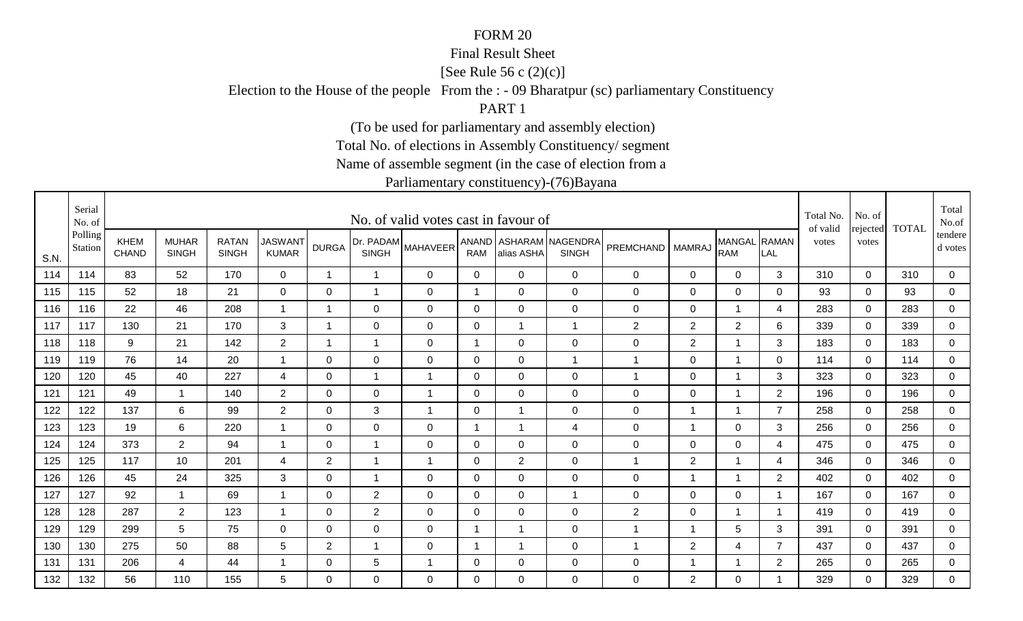### Final Result Sheet

[See Rule 56 c (2)(c)]

Election to the House of the people From the : - 09 Bharatpur (sc) parliamentary Constituency

PART 1

(To be used for parliamentary and assembly election)

Total No. of elections in Assembly Constituency/ segment

Name of assemble segment (in the case of election from a

|      | Serial<br>No. of   |                             |                              |                              |                                |                         |                | No. of valid votes cast in favour of |                |                |                                        |                  |                |                            |                         | Total No.<br>of valid | No. of<br>rejected | <b>TOTAL</b> | Total<br>No.of       |
|------|--------------------|-----------------------------|------------------------------|------------------------------|--------------------------------|-------------------------|----------------|--------------------------------------|----------------|----------------|----------------------------------------|------------------|----------------|----------------------------|-------------------------|-----------------------|--------------------|--------------|----------------------|
| S.N. | Polling<br>Station | <b>KHEM</b><br><b>CHAND</b> | <b>MUHAR</b><br><b>SINGH</b> | <b>RATAN</b><br><b>SINGH</b> | <b>JASWANT</b><br><b>KUMAR</b> | <b>DURGA</b>            | <b>SINGH</b>   | <b>IDr. PADAM</b> MAHAVEER'          | <b>RAM</b>     | alias ASHA     | ANAND ASHARAM NAGENDRA<br><b>SINGH</b> | PREMCHAND        | <b>MAMRAJ</b>  | MANGAL RAMAN<br><b>RAM</b> | LAL                     | votes                 | votes              |              | tendere  <br>d votes |
| 114  | 114                | 83                          | 52                           | 170                          | $\mathbf 0$                    | $\overline{\mathbf{1}}$ | $\mathbf{1}$   | $\mathbf{0}$                         | $\Omega$       | $\Omega$       | $\Omega$                               | 0                | 0              | $\overline{0}$             | 3                       | 310                   | $\Omega$           | 310          | 0                    |
| 115  | 115                | 52                          | 18                           | 21                           | $\mathbf 0$                    | $\mathbf 0$             | $\mathbf{1}$   | $\mathbf 0$                          | $\overline{1}$ | $\overline{0}$ | $\mathbf 0$                            | $\boldsymbol{0}$ | $\mathbf 0$    | $\mathbf 0$                | $\mathbf 0$             | 93                    | $\overline{0}$     | 93           | $\overline{0}$       |
| 116  | 116                | 22                          | 46                           | 208                          | $\mathbf{1}$                   | $\overline{\mathbf{1}}$ | 0              | $\mathbf 0$                          | 0              | 0              | $\mathbf 0$                            | $\boldsymbol{0}$ | 0              | 1                          | 4                       | 283                   | 0                  | 283          | $\overline{0}$       |
| 117  | 117                | 130                         | 21                           | 170                          | 3                              | $\overline{\mathbf{A}}$ | 0              | $\mathbf 0$                          | 0              |                | $\overline{1}$                         | $\mathbf{2}$     | 2              | $\overline{2}$             | 6                       | 339                   | $\mathbf 0$        | 339          | 0                    |
| 118  | 118                | 9                           | 21                           | 142                          | $2^{\circ}$                    | $\overline{\mathbf{1}}$ | $\mathbf 1$    | 0                                    | 1              | $\Omega$       | $\mathbf 0$                            | $\mathbf 0$      | $\overline{2}$ | 1                          | 3                       | 183                   | $\Omega$           | 183          | $\overline{0}$       |
| 119  | 119                | 76                          | 14                           | 20                           | $\mathbf 1$                    | 0                       | 0              | $\mathbf 0$                          | 0              | 0              | $\overline{1}$                         | $\mathbf 1$      | $\mathbf 0$    | 1                          | 0                       | 114                   | $\mathbf 0$        | 114          | 0                    |
| 120  | 120                | 45                          | 40                           | 227                          | $\overline{4}$                 | $\Omega$                | $\overline{1}$ | $\overline{1}$                       | 0              | $\overline{0}$ | $\overline{0}$                         | $\overline{1}$   | $\mathbf 0$    |                            | 3                       | 323                   | $\mathbf 0$        | 323          | 0                    |
| 121  | 121                | 49                          | $\overline{\mathbf{1}}$      | 140                          | $\overline{2}$                 | 0                       | 0              | $\mathbf{1}$                         | 0              | 0              | $\mathbf 0$                            | $\mathbf 0$      | 0              | 1                          | $\overline{2}$          | 196                   | 0                  | 196          | 0                    |
| 122  | 122                | 137                         | 6                            | 99                           | $\overline{2}$                 | 0                       | 3              | -1                                   | 0              | -1             | $\overline{0}$                         | $\mathbf 0$      | -1             |                            | $\overline{7}$          | 258                   | $\mathbf 0$        | 258          | $\mathbf 0$          |
| 123  | 123                | 19                          | 6                            | 220                          | $\mathbf{1}$                   | $\Omega$                | $\overline{0}$ | $\mathbf 0$                          | $\mathbf 1$    | -1             | 4                                      | $\boldsymbol{0}$ | $\mathbf{1}$   | $\mathbf 0$                | 3                       | 256                   | $\Omega$           | 256          | $\overline{0}$       |
| 124  | 124                | 373                         | $\overline{2}$               | 94                           | $\mathbf 1$                    | 0                       | $\mathbf{1}$   | 0                                    | $\mathbf 0$    | $\mathbf 0$    | $\mathbf 0$                            | $\mathbf 0$      | $\mathbf 0$    | $\pmb{0}$                  | 4                       | 475                   | $\mathbf 0$        | 475          | $\overline{0}$       |
| 125  | 125                | 117                         | 10                           | 201                          | 4                              | $\overline{2}$          | $\overline{1}$ | $\overline{1}$                       | $\mathbf 0$    | $\overline{2}$ | $\mathbf 0$                            | $\overline{1}$   | $\overline{2}$ |                            | 4                       | 346                   | $\Omega$           | 346          | 0                    |
| 126  | 126                | 45                          | 24                           | 325                          | 3                              | 0                       | $\mathbf 1$    | 0                                    | 0              | $\mathbf 0$    | $\overline{0}$                         | $\mathbf 0$      | $\mathbf 1$    |                            | $\overline{2}$          | 402                   | $\mathbf 0$        | 402          | $\overline{0}$       |
| 127  | 127                | 92                          | -1                           | 69                           | $\mathbf 1$                    | 0                       | $\overline{2}$ | 0                                    | 0              | 0              | $\overline{1}$                         | 0                | 0              | $\mathbf 0$                | - 1                     | 167                   | $\Omega$           | 167          | $\mathbf 0$          |
| 128  | 128                | 287                         | $\overline{2}$               | 123                          | $\overline{1}$                 | $\mathbf 0$             | $\overline{2}$ | $\mathbf 0$                          | $\overline{0}$ | $\overline{0}$ | $\mathbf 0$                            | $\mathbf{2}$     | $\mathbf 0$    | $\mathbf{1}$               | $\overline{\mathbf{1}}$ | 419                   | $\mathbf 0$        | 419          | $\mathbf 0$          |
| 129  | 129                | 299                         | 5                            | 75                           | $\overline{0}$                 | 0                       | 0              | $\mathbf 0$                          | 1              | -1             | $\mathbf 0$                            | $\mathbf{1}$     | $\overline{1}$ | 5                          | 3                       | 391                   | $\overline{0}$     | 391          | $\overline{0}$       |
| 130  | 130                | 275                         | 50                           | 88                           | 5                              | $\overline{2}$          | $\mathbf{1}$   | $\mathbf 0$                          |                |                | $\mathbf 0$                            | 1                | $\overline{2}$ | $\overline{4}$             | $\overline{7}$          | 437                   | $\mathbf 0$        | 437          | 0                    |
| 131  | 131                | 206                         | 4                            | 44                           |                                | 0                       | 5              | 1                                    | 0              | 0              | $\mathbf 0$                            | 0                | -1             |                            | $\overline{2}$          | 265                   | $\mathbf 0$        | 265          | $\overline{0}$       |
| 132  | 132                | 56                          | 110                          | 155                          | 5                              | $\Omega$                | $\Omega$       | $\mathbf{0}$                         | $\Omega$       | $\Omega$       | $\Omega$                               | 0                | 2              | 0                          | -1                      | 329                   | $\Omega$           | 329          | $\mathbf 0$          |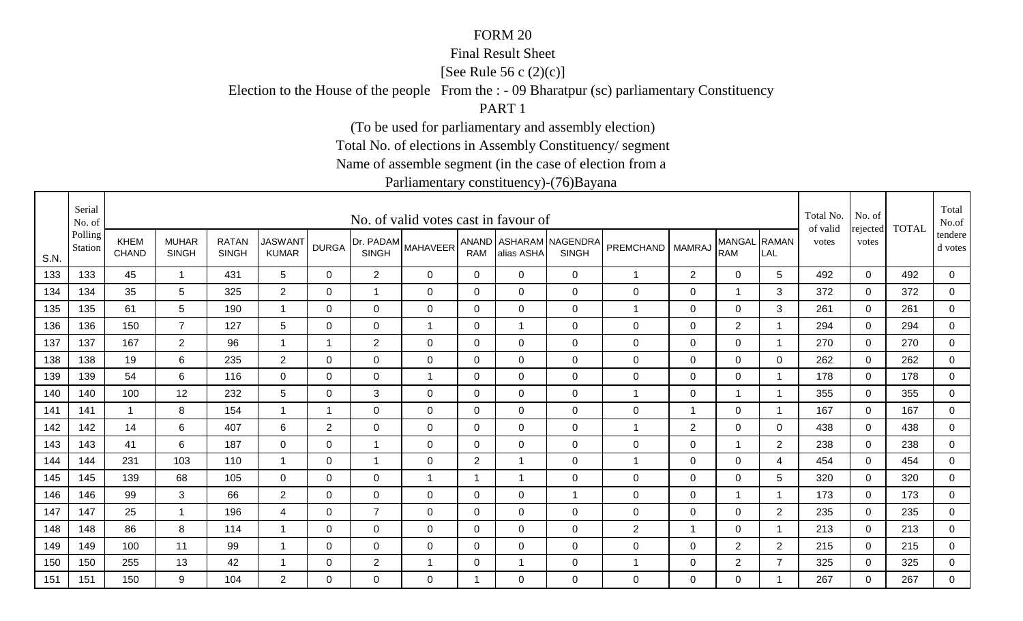### Final Result Sheet

[See Rule 56 c (2)(c)]

Election to the House of the people From the : - 09 Bharatpur (sc) parliamentary Constituency

PART 1

(To be used for parliamentary and assembly election)

Total No. of elections in Assembly Constituency/ segment

Name of assemble segment (in the case of election from a

|      | Serial<br>No. of   |                      |                              |                              |                                |                |                           | No. of valid votes cast in favour of |                |                |                                        |                  |                |                            |                         | Total No.<br>of valid | No. of<br>rejected | <b>TOTAL</b> | Total<br>No.of       |
|------|--------------------|----------------------|------------------------------|------------------------------|--------------------------------|----------------|---------------------------|--------------------------------------|----------------|----------------|----------------------------------------|------------------|----------------|----------------------------|-------------------------|-----------------------|--------------------|--------------|----------------------|
| S.N. | Polling<br>Station | KHEM<br><b>CHAND</b> | <b>MUHAR</b><br><b>SINGH</b> | <b>RATAN</b><br><b>SINGH</b> | <b>JASWANT</b><br><b>KUMAR</b> | <b>DURGA</b>   | Dr. PADAM<br><b>SINGH</b> | <b>MAHAVEER</b>                      | <b>RAM</b>     | alias ASHA     | ANAND ASHARAM NAGENDRA<br><b>SINGH</b> | <b>PREMCHAND</b> | <b>MAMRAJ</b>  | MANGAL RAMAN<br><b>RAM</b> | LAL                     | votes                 | votes              |              | tendere  <br>d votes |
| 133  | 133                | 45                   | $\mathbf 1$                  | 431                          | 5                              | $\Omega$       | $\overline{2}$            | 0                                    | $\mathbf 0$    | $\Omega$       | $\mathbf 0$                            | $\mathbf{1}$     | $\overline{2}$ | $\mathbf 0$                | 5                       | 492                   | $\mathbf{0}$       | 492          | $\overline{0}$       |
| 134  | 134                | 35                   | 5                            | 325                          | $\overline{2}$                 | $\mathbf 0$    | $\mathbf{1}$              | $\mathbf 0$                          | $\mathbf 0$    | $\overline{0}$ | $\mathbf 0$                            | $\mathsf 0$      | $\mathbf 0$    | $\overline{1}$             | 3                       | 372                   | $\mathbf 0$        | 372          | $\overline{0}$       |
| 135  | 135                | 61                   | 5                            | 190                          | -1                             | 0              | $\mathbf 0$               | $\mathbf 0$                          | 0              | $\Omega$       | $\mathbf 0$                            | $\mathbf 1$      | 0              | 0                          | 3                       | 261                   | $\mathbf 0$        | 261          | 0                    |
| 136  | 136                | 150                  | $\overline{7}$               | 127                          | 5                              | $\mathbf 0$    | $\mathbf 0$               | $\overline{1}$                       | $\mathbf 0$    |                | $\mathbf 0$                            | $\mathbf 0$      | $\mathbf 0$    | $\overline{2}$             | $\overline{\mathbf{1}}$ | 294                   | $\mathbf 0$        | 294          | $\mathbf 0$          |
| 137  | 137                | 167                  | $\overline{2}$               | 96                           | $\overline{1}$                 | $\mathbf 1$    | $\overline{2}$            | $\mathbf 0$                          | 0              | $\Omega$       | $\mathbf 0$                            | $\mathbf 0$      | $\mathbf 0$    | $\mathbf 0$                | -1                      | 270                   | $\mathbf 0$        | 270          | $\overline{0}$       |
| 138  | 138                | 19                   | 6                            | 235                          | $\overline{2}$                 | 0              | $\mathbf 0$               | $\mathbf 0$                          | 0              | 0              | $\mathbf 0$                            | 0                | $\mathbf 0$    | $\mathbf 0$                | 0                       | 262                   | $\mathbf 0$        | 262          | 0                    |
| 139  | 139                | 54                   | 6                            | 116                          | $\mathbf 0$                    | $\Omega$       | $\mathbf 0$               | $\overline{1}$                       | 0              | $\mathbf 0$    | $\mathbf 0$                            | $\mathsf 0$      | $\mathbf 0$    | $\mathbf 0$                | -1                      | 178                   | $\mathbf 0$        | 178          | 0                    |
| 140  | 140                | 100                  | 12                           | 232                          | $\overline{5}$                 | 0              | 3                         | 0                                    | $\mathbf 0$    | 0              | $\mathbf 0$                            | $\mathbf 1$      | $\mathbf 0$    | $\mathbf 1$                | - 1                     | 355                   | 0                  | 355          | 0                    |
| 141  | 141                | $\overline{1}$       | 8                            | 154                          | -1                             | 1              | $\mathbf 0$               | 0                                    | 0              | $\Omega$       | $\mathbf 0$                            | $\mathbf 0$      | -1             | $\mathbf 0$                | $\overline{\mathbf{1}}$ | 167                   | 0                  | 167          | 0                    |
| 142  | 142                | 14                   | 6                            | 407                          | 6                              | $\overline{2}$ | $\mathbf 0$               | $\mathbf 0$                          | $\mathbf 0$    | $\Omega$       | $\mathbf 0$                            | 1                | $\overline{2}$ | $\overline{0}$             | $\Omega$                | 438                   | $\Omega$           | 438          | $\overline{0}$       |
| 143  | 143                | 41                   | 6                            | 187                          | $\overline{0}$                 | $\mathbf 0$    | 1                         | $\mathbf 0$                          | $\mathbf 0$    | $\mathbf 0$    | $\mathbf 0$                            | $\mathsf 0$      | $\mathbf 0$    | 1                          | $\overline{2}$          | 238                   | $\mathbf 0$        | 238          | $\overline{0}$       |
| 144  | 144                | 231                  | 103                          | 110                          | -1                             | $\mathbf 0$    | $\overline{\mathbf{A}}$   | $\mathbf 0$                          | $\overline{2}$ |                | $\mathbf 0$                            | 1                | $\mathbf 0$    | $\mathbf 0$                | 4                       | 454                   | $\overline{0}$     | 454          | 0                    |
| 145  | 145                | 139                  | 68                           | 105                          | $\mathbf 0$                    | 0              | $\mathbf 0$               | $\mathbf 1$                          | $\mathbf 1$    |                | $\mathbf 0$                            | 0                | $\mathbf 0$    | 0                          | 5                       | 320                   | 0                  | 320          | 0                    |
| 146  | 146                | 99                   | 3                            | 66                           | $\overline{2}$                 | 0              | $\mathbf 0$               | 0                                    | 0              | 0              | $\overline{1}$                         | $\mathbf 0$      | 0              |                            | -1                      | 173                   | $\Omega$           | 173          | $\mathbf 0$          |
| 147  | 147                | 25                   | $\mathbf{1}$                 | 196                          | 4                              | $\Omega$       | $\overline{7}$            | $\mathbf 0$                          | $\mathbf 0$    | 0              | $\mathbf 0$                            | 0                | $\mathbf 0$    | $\mathbf 0$                | 2                       | 235                   | $\mathbf 0$        | 235          | $\overline{0}$       |
| 148  | 148                | 86                   | 8                            | 114                          | -1                             | 0              | $\mathbf 0$               | $\mathbf 0$                          | 0              | $\overline{0}$ | $\mathbf 0$                            | $\overline{2}$   | $\overline{1}$ | 0                          |                         | 213                   | $\mathbf 0$        | 213          | $\mathbf 0$          |
| 149  | 149                | 100                  | 11                           | 99                           | -1                             | $\Omega$       | $\mathbf 0$               | $\mathbf 0$                          | $\mathbf 0$    | $\Omega$       | $\mathbf 0$                            | $\boldsymbol{0}$ | $\mathbf 0$    | $\overline{2}$             | $\overline{2}$          | 215                   | $\mathbf 0$        | 215          | 0                    |
| 150  | 150                | 255                  | 13                           | 42                           |                                | 0              | $\overline{2}$            | $\mathbf 1$                          | $\mathbf 0$    |                | $\mathbf 0$                            | 1                | $\mathbf 0$    | $\overline{2}$             | $\overline{7}$          | 325                   | $\mathbf 0$        | 325          | $\overline{0}$       |
| 151  | 151                | 150                  | 9                            | 104                          | $\overline{2}$                 | $\Omega$       | $\overline{0}$            | $\Omega$                             | -1             | $\Omega$       | $\mathbf 0$                            | 0                | $\Omega$       | $\mathbf 0$                |                         | 267                   | $\Omega$           | 267          | $\mathbf 0$          |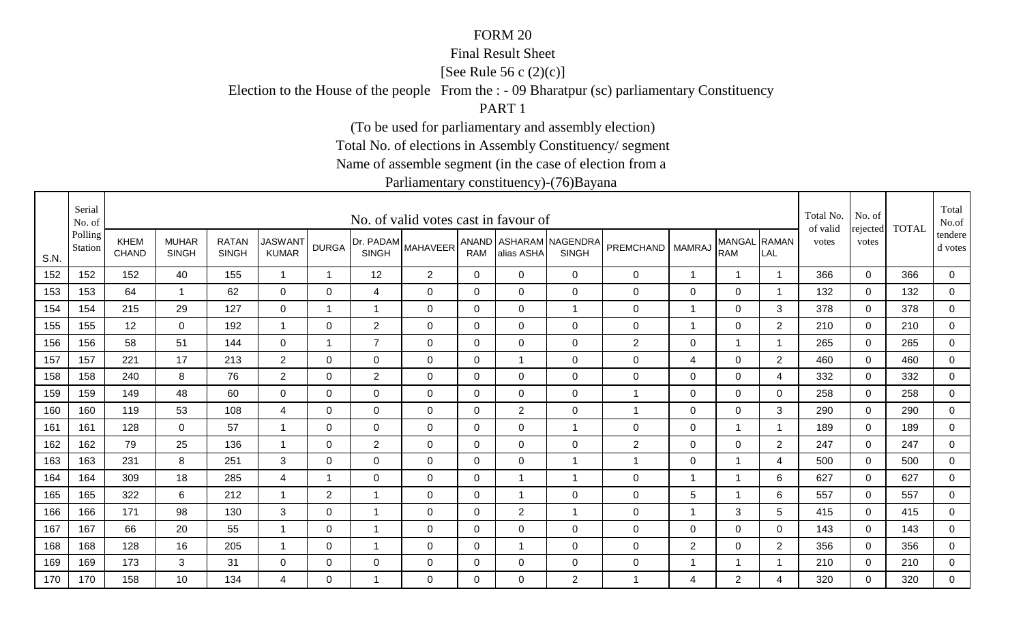### Final Result Sheet

[See Rule 56 c (2)(c)]

Election to the House of the people From the : - 09 Bharatpur (sc) parliamentary Constituency

PART 1

(To be used for parliamentary and assembly election)

Total No. of elections in Assembly Constituency/ segment

Name of assemble segment (in the case of election from a

|      | Serial<br>No. of   |                             |                              |                              |                                |                |                | No. of valid votes cast in favour of |                |                         |                                        |                  |                          |                            |                | Total No.<br>of valid | No. of            | <b>TOTAL</b> | Total<br>No.of       |
|------|--------------------|-----------------------------|------------------------------|------------------------------|--------------------------------|----------------|----------------|--------------------------------------|----------------|-------------------------|----------------------------------------|------------------|--------------------------|----------------------------|----------------|-----------------------|-------------------|--------------|----------------------|
| S.N. | Polling<br>Station | <b>KHEM</b><br><b>CHAND</b> | <b>MUHAR</b><br><b>SINGH</b> | <b>RATAN</b><br><b>SINGH</b> | <b>JASWANT</b><br><b>KUMAR</b> | <b>DURGA</b>   | <b>SINGH</b>   | [Dr. PADAM MAHAVEER <sup>1</sup>     | <b>RAM</b>     | alias ASHA              | ANAND ASHARAM NAGENDRA<br><b>SINGH</b> | <b>PREMCHAND</b> | <b>MAMRAJ</b>            | MANGAL RAMAN<br><b>RAM</b> | LAL            | votes                 | rejected<br>votes |              | tendere  <br>d votes |
| 152  | 152                | 152                         | 40                           | 155                          | $\overline{1}$                 | $\overline{ }$ | 12             | $\overline{2}$                       | 0              | $\Omega$                | $\mathbf 0$                            | $\mathbf 0$      | $\mathbf 1$              |                            | -1             | 366                   | $\mathbf 0$       | 366          | 0                    |
| 153  | 153                | 64                          | $\overline{\mathbf{1}}$      | 62                           | 0                              | 0              | 4              | 0                                    | 0              | 0                       | $\overline{0}$                         | 0                | 0                        | $\mathbf 0$                | - 1            | 132                   | 0                 | 132          | $\overline{0}$       |
| 154  | 154                | 215                         | 29                           | 127                          | $\mathbf 0$                    | -1             | $\mathbf{1}$   | 0                                    | 0              | 0                       | $\overline{1}$                         | $\mathbf 0$      | $\mathbf 1$              | 0                          | 3              | 378                   | 0                 | 378          | 0                    |
| 155  | 155                | 12                          | 0                            | 192                          | $\mathbf 1$                    | 0              | $\overline{2}$ | 0                                    | 0              | $\Omega$                | $\mathbf 0$                            | $\mathbf 0$      | $\mathbf 1$              | $\mathbf 0$                | $\overline{2}$ | 210                   | $\Omega$          | 210          | 0                    |
| 156  | 156                | 58                          | 51                           | 144                          | $\mathbf 0$                    | $\overline{1}$ | $\overline{7}$ | $\mathbf 0$                          | $\overline{0}$ | $\Omega$                | $\overline{0}$                         | $\mathbf{2}$     | $\mathbf 0$              | $\mathbf{1}$               | -1             | 265                   | $\Omega$          | 265          | $\overline{0}$       |
| 157  | 157                | 221                         | 17                           | 213                          | $\overline{2}$                 | $\mathbf 0$    | $\mathbf 0$    | $\mathbf 0$                          | $\overline{0}$ | $\overline{\mathbf{1}}$ | $\overline{0}$                         | $\mathbf 0$      | $\overline{\mathcal{A}}$ | $\mathbf 0$                | $\overline{2}$ | 460                   | $\mathbf 0$       | 460          | $\overline{0}$       |
| 158  | 158                | 240                         | 8                            | 76                           | $\overline{2}$                 | $\Omega$       | $\overline{2}$ | $\mathbf 0$                          | $\mathbf 0$    | $\mathbf 0$             | $\overline{0}$                         | $\mathbf 0$      | $\mathbf 0$              | $\mathbf 0$                | 4              | 332                   | $\mathbf 0$       | 332          | 0                    |
| 159  | 159                | 149                         | 48                           | 60                           | $\overline{0}$                 | 0              | $\mathbf 0$    | $\mathbf 0$                          | 0              | $\mathbf 0$             | $\mathbf 0$                            | 1                | $\mathbf 0$              | $\mathbf 0$                | 0              | 258                   | 0                 | 258          | 0                    |
| 160  | 160                | 119                         | 53                           | 108                          | 4                              | $\Omega$       | 0              | $\mathbf{0}$                         | 0              | $\overline{2}$          | $\overline{0}$                         | 1                | 0                        | $\mathbf 0$                | 3              | 290                   | $\mathbf 0$       | 290          | 0                    |
| 161  | 161                | 128                         | $\Omega$                     | 57                           | $\mathbf 1$                    | $\Omega$       | $\Omega$       | $\mathbf 0$                          | $\Omega$       | $\mathbf 0$             | $\overline{1}$                         | $\mathbf 0$      | $\mathbf 0$              | $\mathbf{1}$               | - 1            | 189                   | $\mathbf 0$       | 189          | $\overline{0}$       |
| 162  | 162                | 79                          | 25                           | 136                          | $\mathbf 1$                    | 0              | $\overline{c}$ | 0                                    | $\mathbf 0$    | 0                       | $\mathbf 0$                            | $\mathbf{2}$     | 0                        | $\pmb{0}$                  | $\overline{2}$ | 247                   | 0                 | 247          | $\overline{0}$       |
| 163  | 163                | 231                         | 8                            | 251                          | 3                              | 0              | $\mathbf 0$    | $\mathbf{0}$                         | 0              | $\mathbf 0$             | $\overline{1}$                         | 1                | 0                        |                            | 4              | 500                   | $\Omega$          | 500          | 0                    |
| 164  | 164                | 309                         | 18                           | 285                          | $\overline{4}$                 | -1             | 0              | 0                                    | $\mathbf 0$    | -1                      | $\overline{1}$                         | $\mathbf 0$      | -1                       |                            | 6              | 627                   | $\mathbf 0$       | 627          | $\overline{0}$       |
| 165  | 165                | 322                         | 6                            | 212                          | -1                             | $\overline{2}$ | $\mathbf 1$    | 0                                    | 0              | -1                      | $\overline{0}$                         | $\mathbf 0$      | 5                        | 1                          | 6              | 557                   | $\Omega$          | 557          | 0                    |
| 166  | 166                | 171                         | 98                           | 130                          | 3                              | $\mathbf 0$    | $\mathbf{1}$   | $\mathbf 0$                          | $\overline{0}$ | $\overline{2}$          | $\overline{1}$                         | $\boldsymbol{0}$ | $\overline{1}$           | $\mathfrak{S}$             | 5              | 415                   | $\mathbf 0$       | 415          | $\mathbf 0$          |
| 167  | 167                | 66                          | 20                           | 55                           | $\mathbf 1$                    | 0              | $\mathbf 1$    | 0                                    | 0              | 0                       | $\mathbf 0$                            | $\mathbf 0$      | $\mathbf 0$              | $\mathbf 0$                | 0              | 143                   | $\Omega$          | 143          | $\overline{0}$       |
| 168  | 168                | 128                         | 16                           | 205                          |                                | 0              | $\mathbf 1$    | 0                                    | $\mathbf 0$    |                         | $\mathbf 0$                            | $\mathbf 0$      | $\overline{2}$           | $\pmb{0}$                  | $\overline{2}$ | 356                   | $\mathbf 0$       | 356          | 0                    |
| 169  | 169                | 173                         | 3                            | 31                           | 0                              | 0              | 0              | 0                                    | 0              | 0                       | $\mathbf 0$                            | $\mathbf 0$      | -1                       |                            |                | 210                   | $\mathbf 0$       | 210          | $\overline{0}$       |
| 170  | 170                | 158                         | 10 <sup>°</sup>              | 134                          | 4                              | $\Omega$       | $\mathbf{1}$   | $\Omega$                             | $\Omega$       | $\Omega$                | 2                                      | $\overline{1}$   | 4                        | 2                          | 4              | 320                   | $\Omega$          | 320          | $\mathbf 0$          |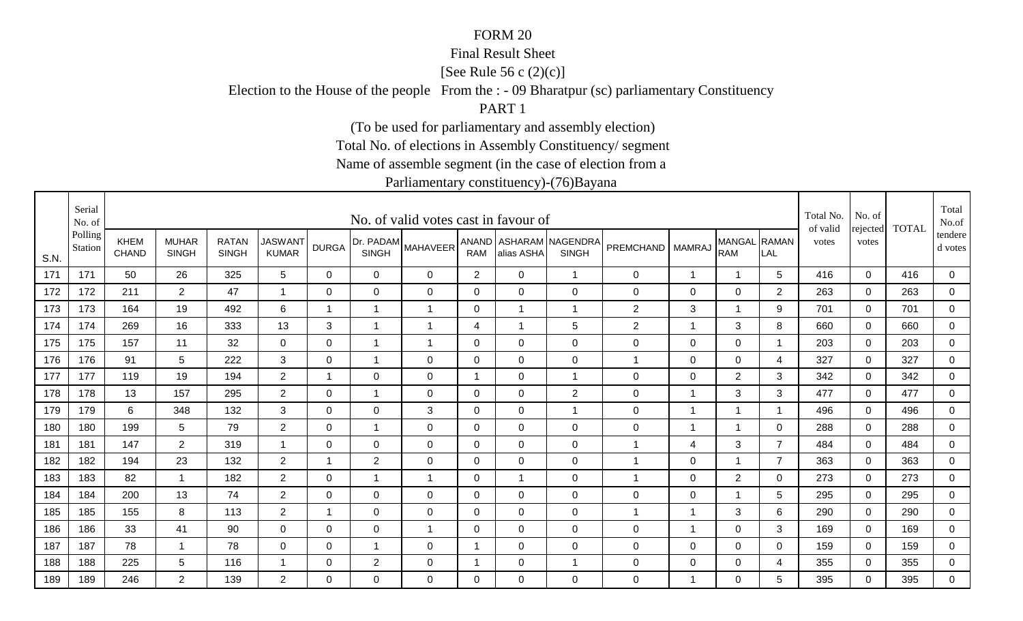### Final Result Sheet

[See Rule 56 c (2)(c)]

Election to the House of the people From the : - 09 Bharatpur (sc) parliamentary Constituency

PART 1

(To be used for parliamentary and assembly election)

Total No. of elections in Assembly Constituency/ segment

Name of assemble segment (in the case of election from a

|      | Serial<br>No. of   |                             |                              |                              |                                |                         |                | No. of valid votes cast in favour of |                |                |                                        |                |                |                            |                | Total No.<br>of valid | No. of            | <b>TOTAL</b> | Total<br>No.of     |
|------|--------------------|-----------------------------|------------------------------|------------------------------|--------------------------------|-------------------------|----------------|--------------------------------------|----------------|----------------|----------------------------------------|----------------|----------------|----------------------------|----------------|-----------------------|-------------------|--------------|--------------------|
| S.N. | Polling<br>Station | <b>KHEM</b><br><b>CHAND</b> | <b>MUHAR</b><br><b>SINGH</b> | <b>RATAN</b><br><b>SINGH</b> | <b>JASWANT</b><br><b>KUMAR</b> | <b>DURGA</b>            | <b>SINGH</b>   | (Dr. PADAM MAHAVEER <sup>!</sup>     | <b>RAM</b>     | alias ASHA     | ANAND ASHARAM NAGENDRA<br><b>SINGH</b> | PREMCHAND      | <b>MAMRAJ</b>  | MANGAL RAMAN<br><b>RAM</b> | LAL            | votes                 | rejected<br>votes |              | tendere<br>d votes |
| 171  | 171                | 50                          | 26                           | 325                          | 5                              | 0                       | $\mathbf 0$    | 0                                    | $\overline{2}$ | $\mathbf 0$    | $\mathbf{1}$                           | $\mathbf 0$    | $\mathbf{1}$   | $\overline{1}$             | 5              | 416                   | $\mathbf 0$       | 416          | $\overline{0}$     |
| 172  | 172                | 211                         | $\overline{2}$               | 47                           | $\overline{1}$                 | $\mathbf 0$             | $\mathbf 0$    | $\mathbf 0$                          | $\mathbf 0$    | $\mathbf 0$    | $\mathbf 0$                            | $\mathsf 0$    | $\mathbf 0$    | $\mathbf 0$                | $\overline{2}$ | 263                   | $\mathbf 0$       | 263          | $\overline{0}$     |
| 173  | 173                | 164                         | 19                           | 492                          | 6                              | -1                      | $\mathbf{1}$   | 1                                    | $\mathbf 0$    |                | $\overline{1}$                         | $\mathbf{2}$   | $\sqrt{3}$     |                            | 9              | 701                   | 0                 | 701          | 0                  |
| 174  | 174                | 269                         | 16                           | 333                          | 13                             | 3                       | $\mathbf 1$    | 1                                    | 4              |                | $\overline{5}$                         | $\overline{c}$ | $\mathbf 1$    | $\mathbf{3}$               | 8              | 660                   | $\mathbf 0$       | 660          | $\mathbf 0$        |
| 175  | 175                | 157                         | 11                           | 32                           | $\overline{0}$                 | $\Omega$                | $\mathbf{1}$   | $\overline{1}$                       | 0              | $\overline{0}$ | $\overline{0}$                         | $\mathbf 0$    | $\mathbf 0$    | $\mathbf 0$                | -1             | 203                   | $\mathbf 0$       | 203          | $\overline{0}$     |
| 176  | 176                | 91                          | 5                            | 222                          | 3                              | 0                       | $\mathbf{1}$   | $\mathbf 0$                          | $\mathbf 0$    | $\Omega$       | $\overline{0}$                         | $\overline{1}$ | $\mathbf 0$    | $\overline{0}$             | $\overline{4}$ | 327                   | 0                 | 327          | $\overline{0}$     |
| 177  | 177                | 119                         | 19                           | 194                          | $\overline{2}$                 | $\overline{\mathbf{1}}$ | $\mathbf 0$    | $\mathbf 0$                          | $\overline{1}$ | $\overline{0}$ | $\overline{1}$                         | 0              | 0              | $\overline{2}$             | 3              | 342                   | $\Omega$          | 342          | 0                  |
| 178  | 178                | 13                          | 157                          | 295                          | $\overline{2}$                 | 0                       | $\mathbf{1}$   | $\mathbf 0$                          | 0              | 0              | $\overline{2}$                         | $\pmb{0}$      | $\overline{1}$ | $\mathbf{3}$               | 3              | 477                   | 0                 | 477          | $\mathbf 0$        |
| 179  | 179                | 6                           | 348                          | 132                          | 3                              | $\Omega$                | 0              | 3                                    | 0              | 0              | $\overline{1}$                         | $\mathbf 0$    | $\mathbf 1$    |                            | - 1            | 496                   | $\Omega$          | 496          | 0                  |
| 180  | 180                | 199                         | 5                            | 79                           | $\overline{2}$                 | 0                       | $\mathbf{1}$   | $\mathbf 0$                          | $\mathbf 0$    | $\mathbf 0$    | $\overline{0}$                         | $\mathsf 0$    | $\mathbf 1$    | 1                          | 0              | 288                   | $\mathbf 0$       | 288          | $\overline{0}$     |
| 181  | 181                | 147                         | $\overline{2}$               | 319                          | $\mathbf 1$                    | 0                       | 0              | $\mathbf 0$                          | $\mathbf 0$    | $\mathbf 0$    | $\mathbf 0$                            | $\mathbf 1$    | 4              | $\mathfrak{S}$             | $\overline{7}$ | 484                   | $\mathbf 0$       | 484          | $\overline{0}$     |
| 182  | 182                | 194                         | 23                           | 132                          | $\overline{2}$                 | $\overline{ }$          | $\overline{2}$ | $\mathbf{0}$                         | $\Omega$       | $\overline{0}$ | $\mathbf 0$                            | $\mathbf 1$    | 0              | 1                          | $\overline{7}$ | 363                   | $\Omega$          | 363          | 0                  |
| 183  | 183                | 82                          | -1                           | 182                          | $\overline{2}$                 | $\Omega$                | $\mathbf 1$    | $\mathbf 1$                          | 0              | -1             | $\mathbf 0$                            | 1              | 0              | $\overline{2}$             | 0              | 273                   | $\Omega$          | 273          | $\mathbf 0$        |
| 184  | 184                | 200                         | 13                           | 74                           | $\overline{2}$                 | 0                       | $\mathbf 0$    | 0                                    | 0              | 0              | $\mathbf 0$                            | 0              | 0              | 1                          | 5              | 295                   | $\Omega$          | 295          | $\mathbf 0$        |
| 185  | 185                | 155                         | 8                            | 113                          | $\overline{2}$                 | -1                      | 0              | $\mathbf 0$                          | 0              | 0              | $\overline{0}$                         | 1              | $\mathbf 1$    | $\mathbf{3}$               | 6              | 290                   | $\mathbf 0$       | 290          | $\mathbf 0$        |
| 186  | 186                | 33                          | 41                           | 90                           | 0                              | 0                       | 0              | $\mathbf 1$                          | $\mathbf 0$    | $\mathbf 0$    | $\mathbf 0$                            | $\mathbf 0$    | $\overline{1}$ | $\mathbf 0$                | 3              | 169                   | 0                 | 169          | $\mathbf 0$        |
| 187  | 187                | 78                          | -1                           | 78                           | 0                              | 0                       | $\mathbf{1}$   | 0                                    | -1             | 0              | $\mathbf 0$                            | $\mathbf 0$    | 0              | 0                          | $\mathbf 0$    | 159                   | $\Omega$          | 159          | 0                  |
| 188  | 188                | 225                         | 5                            | 116                          | $\mathbf 1$                    | 0                       | $\overline{2}$ | $\mathbf 0$                          | 1              | 0              | $\overline{1}$                         | $\mathbf 0$    | $\mathbf 0$    | $\mathbf 0$                | 4              | 355                   | 0                 | 355          | $\mathbf 0$        |
| 189  | 189                | 246                         | $\overline{2}$               | 139                          | $\overline{2}$                 | $\Omega$                | $\Omega$       | $\mathbf{0}$                         | $\Omega$       | $\Omega$       | $\mathbf 0$                            | 0              | 1              | 0                          | 5              | 395                   | $\Omega$          | 395          | $\mathbf 0$        |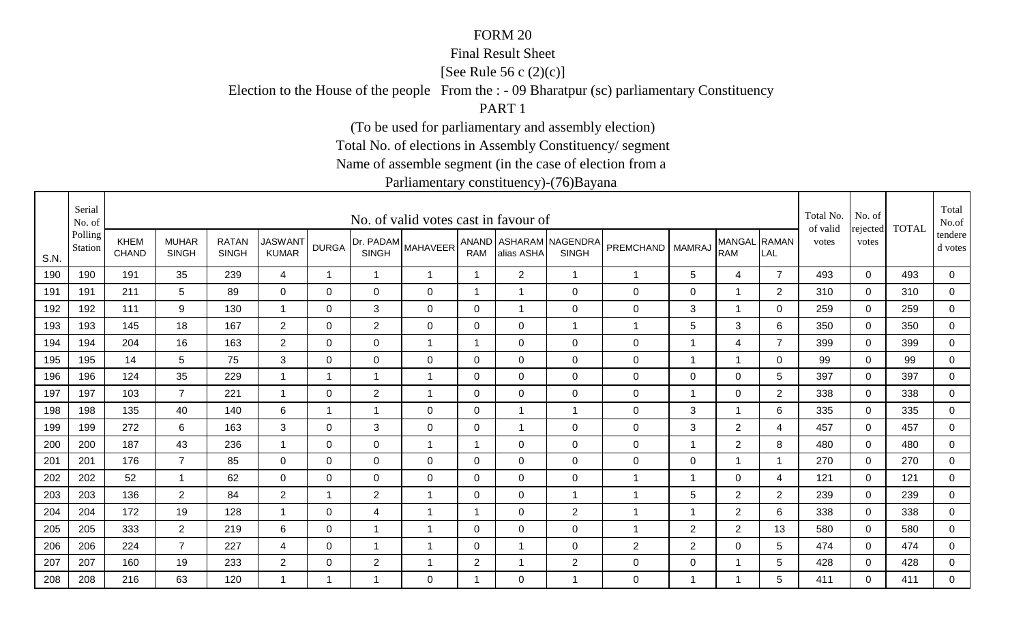### Final Result Sheet

[See Rule 56 c (2)(c)]

Election to the House of the people From the : - 09 Bharatpur (sc) parliamentary Constituency

PART 1

(To be used for parliamentary and assembly election)

Total No. of elections in Assembly Constituency/ segment

Name of assemble segment (in the case of election from a

|      | Serial<br>No. of   |                             |                              |                              |                                |                |                | No. of valid votes cast in favour of |                |                |                                        |                  |                |                            |                | Total No.<br>of valid | No. of<br>rejected | <b>TOTAL</b> | Total<br>No.of       |
|------|--------------------|-----------------------------|------------------------------|------------------------------|--------------------------------|----------------|----------------|--------------------------------------|----------------|----------------|----------------------------------------|------------------|----------------|----------------------------|----------------|-----------------------|--------------------|--------------|----------------------|
| S.N. | Polling<br>Station | <b>KHEM</b><br><b>CHAND</b> | <b>MUHAR</b><br><b>SINGH</b> | <b>RATAN</b><br><b>SINGH</b> | <b>JASWANT</b><br><b>KUMAR</b> | <b>DURGA</b>   | <b>SINGH</b>   | (Dr. PADAM MAHAVEER'                 | <b>RAM</b>     | alias ASHA     | ANAND ASHARAM NAGENDRA<br><b>SINGH</b> | PREMCHAND        | <b>MAMRAJ</b>  | MANGAL RAMAN<br><b>RAM</b> | LAL            | votes                 | votes              |              | tendere  <br>d votes |
| 190  | 190                | 191                         | 35                           | 239                          | $\overline{4}$                 | $\overline{1}$ | $\mathbf{1}$   | $\mathbf{1}$                         | $\mathbf{1}$   | $\overline{2}$ | $\overline{1}$                         | $\overline{1}$   | 5              | 4                          | $\overline{7}$ | 493                   | $\Omega$           | 493          | 0                    |
| 191  | 191                | 211                         | 5                            | 89                           | $\mathbf 0$                    | 0              | $\mathbf 0$    | $\mathbf 0$                          | 1              |                | $\mathbf 0$                            | $\boldsymbol{0}$ | $\mathbf 0$    |                            | $\overline{2}$ | 310                   | $\mathbf 0$        | 310          | $\overline{0}$       |
| 192  | 192                | 111                         | 9                            | 130                          | $\mathbf{1}$                   | 0              | 3              | 0                                    | 0              | -1             | $\mathbf 0$                            | $\mathbf 0$      | 3              | 1                          | $\mathbf 0$    | 259                   | 0                  | 259          | $\mathbf{0}$         |
| 193  | 193                | 145                         | 18                           | 167                          | $\overline{2}$                 | 0              | $\overline{2}$ | 0                                    | 0              | 0              | $\overline{1}$                         | 1                | 5              | 3                          | 6              | 350                   | 0                  | 350          | 0                    |
| 194  | 194                | 204                         | 16                           | 163                          | $2^{\circ}$                    | $\Omega$       | $\Omega$       | $\overline{1}$                       | 1              | $\Omega$       | $\overline{0}$                         | $\mathbf 0$      | $\overline{1}$ | $\overline{4}$             | $\overline{7}$ | 399                   | $\Omega$           | 399          | $\mathbf 0$          |
| 195  | 195                | 14                          | 5                            | 75                           | 3                              | 0              | 0              | 0                                    | 0              | 0              | $\mathbf 0$                            | $\mathbf 0$      | $\mathbf 1$    | $\mathbf 1$                | $\Omega$       | 99                    | $\Omega$           | 99           | $\mathbf 0$          |
| 196  | 196                | 124                         | 35                           | 229                          | $\mathbf 1$                    | $\overline{1}$ | $\mathbf{1}$   | $\overline{1}$                       | 0              | $\overline{0}$ | $\overline{0}$                         | 0                | 0              | $\mathbf 0$                | 5              | 397                   | $\Omega$           | 397          | 0                    |
| 197  | 197                | 103                         | $\overline{7}$               | 221                          | $\mathbf{1}$                   | 0              | $\overline{2}$ | 1                                    | 0              | 0              | $\mathbf 0$                            | 0                | -1             | 0                          | $\overline{c}$ | 338                   | 0                  | 338          | 0                    |
| 198  | 198                | 135                         | 40                           | 140                          | 6                              | 1              | $\mathbf 1$    | 0                                    | $\mathbf 0$    | -1             | $\overline{1}$                         | $\mathbf 0$      | 3              |                            | 6              | 335                   | $\mathbf 0$        | 335          | $\mathbf 0$          |
| 199  | 199                | 272                         | 6                            | 163                          | 3                              | $\Omega$       | 3              | $\mathbf 0$                          | $\mathbf 0$    | -1             | $\overline{0}$                         | $\mathsf 0$      | 3              | $\overline{2}$             | 4              | 457                   | $\Omega$           | 457          | $\overline{0}$       |
| 200  | 200                | 187                         | 43                           | 236                          | $\overline{1}$                 | $\mathbf 0$    | $\mathbf 0$    | $\mathbf 1$                          | 1              | $\overline{0}$ | $\mathbf 0$                            | $\mathsf 0$      | $\overline{1}$ | $\overline{2}$             | 8              | 480                   | $\mathbf 0$        | 480          | $\overline{0}$       |
| 201  | 201                | 176                         | $\overline{7}$               | 85                           | $\Omega$                       | $\Omega$       | $\mathbf 0$    | $\mathbf 0$                          | $\mathbf 0$    | $\overline{0}$ | $\overline{0}$                         | $\mathbf 0$      | $\mathbf 0$    | 1                          | - 1            | 270                   | $\mathbf 0$        | 270          | 0                    |
| 202  | 202                | 52                          | $\overline{\mathbf{1}}$      | 62                           | $\overline{0}$                 | 0              | $\mathbf 0$    | $\mathbf 0$                          | 0              | 0              | $\mathbf 0$                            | 1                | $\mathbf 1$    | $\overline{0}$             | 4              | 121                   | 0                  | 121          | $\overline{0}$       |
| 203  | 203                | 136                         | $\overline{2}$               | 84                           | $2^{\circ}$                    | -1             | $\overline{2}$ | $\mathbf 1$                          | 0              | 0              | $\overline{1}$                         | 1                | 5              | $\overline{2}$             | $\overline{2}$ | 239                   | $\mathbf 0$        | 239          | $\overline{0}$       |
| 204  | 204                | 172                         | 19                           | 128                          | $\overline{1}$                 | 0              | 4              | 1                                    | 1              | $\mathbf 0$    | 2                                      | 1                | $\overline{1}$ | $\overline{2}$             | 6              | 338                   | $\mathbf 0$        | 338          | $\overline{0}$       |
| 205  | 205                | 333                         | $\overline{2}$               | 219                          | 6                              | 0              | $\mathbf 1$    | 1                                    | 0              | $\mathbf 0$    | $\mathbf 0$                            | $\mathbf{1}$     | $\sqrt{2}$     | $\overline{2}$             | 13             | 580                   | $\mathbf 0$        | 580          | $\overline{0}$       |
| 206  | 206                | 224                         | $\overline{7}$               | 227                          | 4                              | 0              | $\mathbf{1}$   | $\mathbf 1$                          | $\mathbf 0$    | -1             | $\mathbf 0$                            | $\mathbf{2}$     | 2              | $\mathbf 0$                | 5              | 474                   | $\Omega$           | 474          | 0                    |
| 207  | 207                | 160                         | 19                           | 233                          | $\overline{2}$                 | 0              | $\overline{2}$ | 1                                    | $\overline{c}$ | -1             | 2                                      | $\mathbf 0$      | $\mathbf 0$    |                            | 5              | 428                   | $\Omega$           | 428          | $\overline{0}$       |
| 208  | 208                | 216                         | 63                           | 120                          | 1                              | -1             | -1             | $\mathbf{0}$                         |                | $\overline{0}$ | $\overline{1}$                         | 0                | -1             |                            | 5              | 411                   | $\Omega$           | 411          | $\mathbf 0$          |